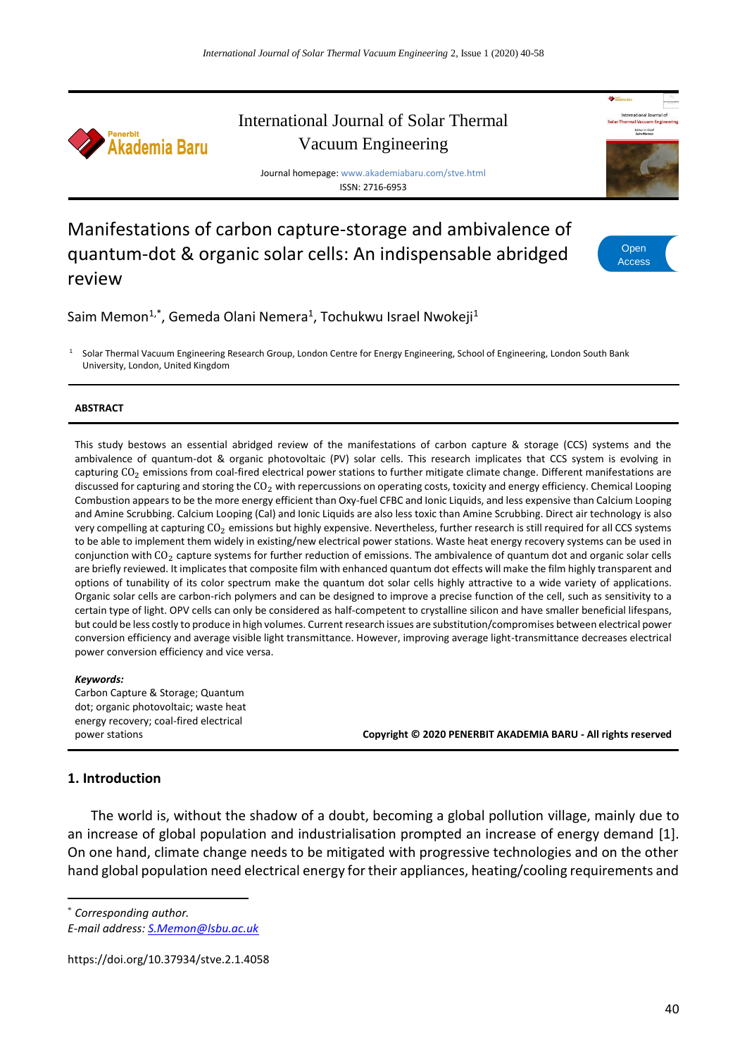

# International Journal of Solar Thermal Vacuum Engineering

Journal homepage: www.akademiabaru.com/stve.html ISSN: 2716-6953

# Manifestations of carbon capture-storage and ambivalence of quantum-dot & organic solar cells: An indispensable abridged review



Saim Memon<sup>1,\*</sup>, Gemeda Olani Nemera<sup>1</sup>, Tochukwu Israel Nwokeji<sup>1</sup>

<sup>1</sup> Solar Thermal Vacuum Engineering Research Group, London Centre for Energy Engineering, School of Engineering, London South Bank University, London, United Kingdom

#### **ABSTRACT**

This study bestows an essential abridged review of the manifestations of carbon capture & storage (CCS) systems and the ambivalence of quantum-dot & organic photovoltaic (PV) solar cells. This research implicates that CCS system is evolving in capturing  $CO<sub>2</sub>$  emissions from coal-fired electrical power stations to further mitigate climate change. Different manifestations are discussed for capturing and storing the  $CO<sub>2</sub>$  with repercussions on operating costs, toxicity and energy efficiency. Chemical Looping Combustion appears to be the more energy efficient than Oxy-fuel CFBC and Ionic Liquids, and less expensive than Calcium Looping and Amine Scrubbing. Calcium Looping (Cal) and Ionic Liquids are also less toxic than Amine Scrubbing. Direct air technology is also very compelling at capturing  $CO_2$  emissions but highly expensive. Nevertheless, further research is still required for all CCS systems to be able to implement them widely in existing/new electrical power stations. Waste heat energy recovery systems can be used in conjunction with  $CO<sub>2</sub>$  capture systems for further reduction of emissions. The ambivalence of quantum dot and organic solar cells are briefly reviewed. It implicates that composite film with enhanced quantum dot effects will make the film highly transparent and options of tunability of its color spectrum make the quantum dot solar cells highly attractive to a wide variety of applications. Organic solar cells are carbon-rich polymers and can be designed to improve a precise function of the cell, such as sensitivity to a certain type of light. OPV cells can only be considered as half-competent to crystalline silicon and have smaller beneficial lifespans, but could be less costly to produce in high volumes. Current research issues are substitution/compromises between electrical power conversion efficiency and average visible light transmittance. However, improving average light-transmittance decreases electrical power conversion efficiency and vice versa.

#### *Keywords:*

Carbon Capture & Storage; Quantum dot; organic photovoltaic; waste heat energy recovery; coal-fired electrical

power stations **Copyright © 2020 PENERBIT AKADEMIA BARU - All rights reserved**

#### **1. Introduction**

The world is, without the shadow of a doubt, becoming a global pollution village, mainly due to an increase of global population and industrialisation prompted an increase of energy demand [1]. On one hand, climate change needs to be mitigated with progressive technologies and on the other hand global population need electrical energy for their appliances, heating/cooling requirements and

\* *Corresponding author.*

1

https://doi.org/10.37934/stve.2.1.4058

*E-mail address: [S.Memon@lsbu.ac.uk](mailto:S.Memon@lsbu.ac.uk)*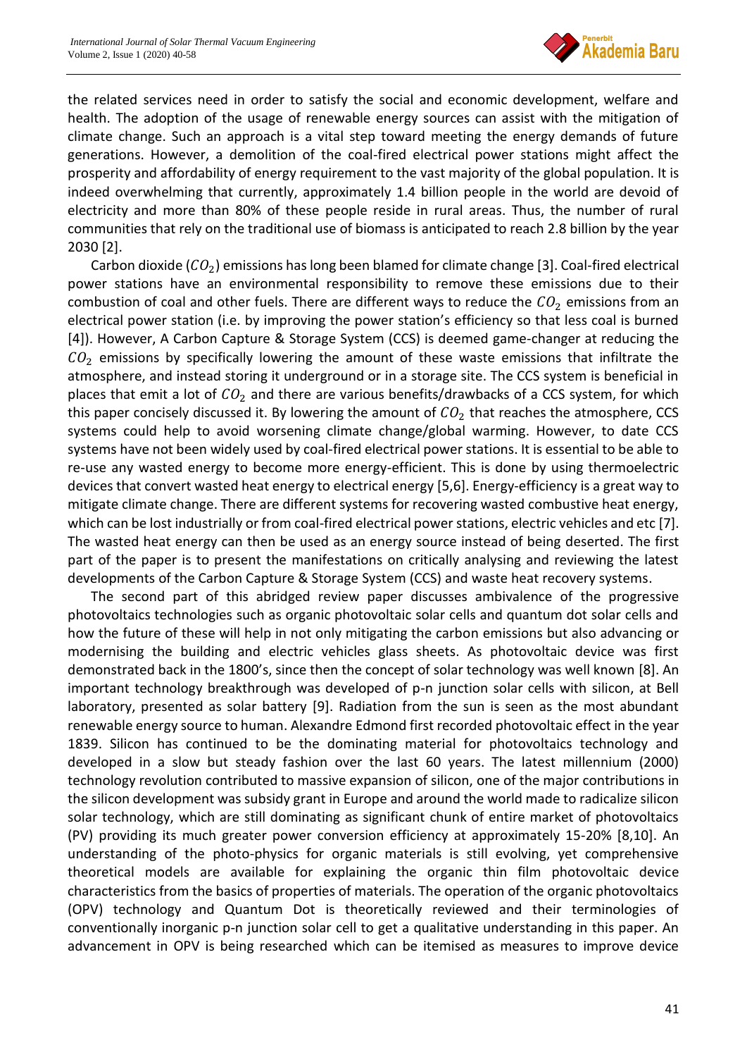

the related services need in order to satisfy the social and economic development, welfare and health. The adoption of the usage of renewable energy sources can assist with the mitigation of climate change. Such an approach is a vital step toward meeting the energy demands of future generations. However, a demolition of the coal-fired electrical power stations might affect the prosperity and affordability of energy requirement to the vast majority of the global population. It is indeed overwhelming that currently, approximately 1.4 billion people in the world are devoid of electricity and more than 80% of these people reside in rural areas. Thus, the number of rural communities that rely on the traditional use of biomass is anticipated to reach 2.8 billion by the year 2030 [2].

Carbon dioxide ( $CO<sub>2</sub>$ ) emissions has long been blamed for climate change [3]. Coal-fired electrical power stations have an environmental responsibility to remove these emissions due to their combustion of coal and other fuels. There are different ways to reduce the  $CO<sub>2</sub>$  emissions from an electrical power station (i.e. by improving the power station's efficiency so that less coal is burned [4]). However, A Carbon Capture & Storage System (CCS) is deemed game-changer at reducing the  $CO<sub>2</sub>$  emissions by specifically lowering the amount of these waste emissions that infiltrate the atmosphere, and instead storing it underground or in a storage site. The CCS system is beneficial in places that emit a lot of  $CO<sub>2</sub>$  and there are various benefits/drawbacks of a CCS system, for which this paper concisely discussed it. By lowering the amount of  $CO<sub>2</sub>$  that reaches the atmosphere, CCS systems could help to avoid worsening climate change/global warming. However, to date CCS systems have not been widely used by coal-fired electrical power stations. It is essential to be able to re-use any wasted energy to become more energy-efficient. This is done by using thermoelectric devices that convert wasted heat energy to electrical energy [5,6]. Energy-efficiency is a great way to mitigate climate change. There are different systems for recovering wasted combustive heat energy, which can be lost industrially or from coal-fired electrical power stations, electric vehicles and etc [7]. The wasted heat energy can then be used as an energy source instead of being deserted. The first part of the paper is to present the manifestations on critically analysing and reviewing the latest developments of the Carbon Capture & Storage System (CCS) and waste heat recovery systems.

The second part of this abridged review paper discusses ambivalence of the progressive photovoltaics technologies such as organic photovoltaic solar cells and quantum dot solar cells and how the future of these will help in not only mitigating the carbon emissions but also advancing or modernising the building and electric vehicles glass sheets. As photovoltaic device was first demonstrated back in the 1800's, since then the concept of solar technology was well known [8]. An important technology breakthrough was developed of p-n junction solar cells with silicon, at Bell laboratory, presented as solar battery [9]. Radiation from the sun is seen as the most abundant renewable energy source to human. Alexandre Edmond first recorded photovoltaic effect in the year 1839. Silicon has continued to be the dominating material for photovoltaics technology and developed in a slow but steady fashion over the last 60 years. The latest millennium (2000) technology revolution contributed to massive expansion of silicon, one of the major contributions in the silicon development was subsidy grant in Europe and around the world made to radicalize silicon solar technology, which are still dominating as significant chunk of entire market of photovoltaics (PV) providing its much greater power conversion efficiency at approximately 15-20% [8,10]. An understanding of the photo-physics for organic materials is still evolving, yet comprehensive theoretical models are available for explaining the organic thin film photovoltaic device characteristics from the basics of properties of materials. The operation of the organic photovoltaics (OPV) technology and Quantum Dot is theoretically reviewed and their terminologies of conventionally inorganic p-n junction solar cell to get a qualitative understanding in this paper. An advancement in OPV is being researched which can be itemised as measures to improve device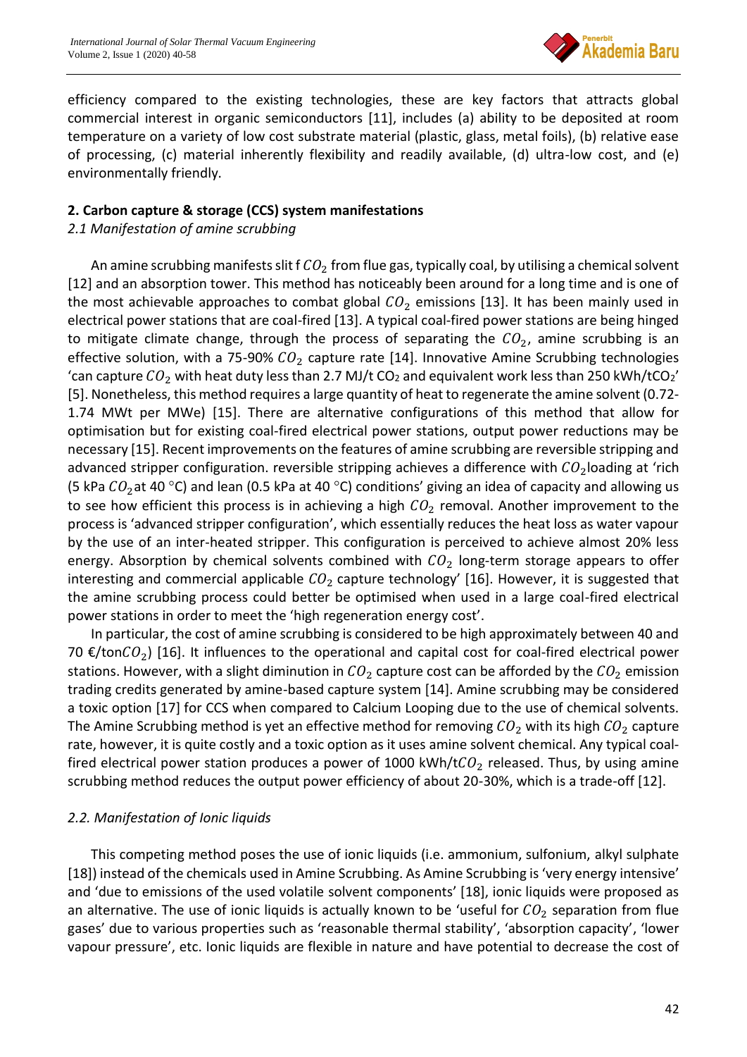

efficiency compared to the existing technologies, these are key factors that attracts global commercial interest in organic semiconductors [11], includes (a) ability to be deposited at room temperature on a variety of low cost substrate material (plastic, glass, metal foils), (b) relative ease of processing, (c) material inherently flexibility and readily available, (d) ultra-low cost, and (e) environmentally friendly.

### **2. Carbon capture & storage (CCS) system manifestations**

### *2.1 Manifestation of amine scrubbing*

An amine scrubbing manifests slit f  $CO<sub>2</sub>$  from flue gas, typically coal, by utilising a chemical solvent [12] and an absorption tower. This method has noticeably been around for a long time and is one of the most achievable approaches to combat global  $CO<sub>2</sub>$  emissions [13]. It has been mainly used in electrical power stations that are coal-fired [13]. A typical coal-fired power stations are being hinged to mitigate climate change, through the process of separating the  $CO<sub>2</sub>$ , amine scrubbing is an effective solution, with a 75-90%  $CO<sub>2</sub>$  capture rate [14]. Innovative Amine Scrubbing technologies 'can capture  $CO_2$  with heat duty less than 2.7 MJ/t CO<sub>2</sub> and equivalent work less than 250 kWh/tCO<sub>2</sub>' [5]. Nonetheless, this method requires a large quantity of heat to regenerate the amine solvent (0.72- 1.74 MWt per MWe) [15]. There are alternative configurations of this method that allow for optimisation but for existing coal-fired electrical power stations, output power reductions may be necessary [15]. Recent improvements on the features of amine scrubbing are reversible stripping and advanced stripper configuration. reversible stripping achieves a difference with  $CO<sub>2</sub>$  loading at 'rich (5 kPa  $CO_2$ at 40 °C) and lean (0.5 kPa at 40 °C) conditions' giving an idea of capacity and allowing us to see how efficient this process is in achieving a high  $CO<sub>2</sub>$  removal. Another improvement to the process is 'advanced stripper configuration', which essentially reduces the heat loss as water vapour by the use of an inter-heated stripper. This configuration is perceived to achieve almost 20% less energy. Absorption by chemical solvents combined with  $CO<sub>2</sub>$  long-term storage appears to offer interesting and commercial applicable  $CO<sub>2</sub>$  capture technology' [16]. However, it is suggested that the amine scrubbing process could better be optimised when used in a large coal-fired electrical power stations in order to meet the 'high regeneration energy cost'.

In particular, the cost of amine scrubbing is considered to be high approximately between 40 and 70 €/ton $CO_2$ ) [16]. It influences to the operational and capital cost for coal-fired electrical power stations. However, with a slight diminution in  $CO_2$  capture cost can be afforded by the  $CO_2$  emission trading credits generated by amine-based capture system [14]. Amine scrubbing may be considered a toxic option [17] for CCS when compared to Calcium Looping due to the use of chemical solvents. The Amine Scrubbing method is yet an effective method for removing  $CO_2$  with its high  $CO_2$  capture rate, however, it is quite costly and a toxic option as it uses amine solvent chemical. Any typical coalfired electrical power station produces a power of 1000 kWh/t $CO<sub>2</sub>$  released. Thus, by using amine scrubbing method reduces the output power efficiency of about 20-30%, which is a trade-off [12].

#### *2.2. Manifestation of Ionic liquids*

This competing method poses the use of ionic liquids (i.e. ammonium, sulfonium, alkyl sulphate [18]) instead of the chemicals used in Amine Scrubbing. As Amine Scrubbing is 'very energy intensive' and 'due to emissions of the used volatile solvent components' [18], ionic liquids were proposed as an alternative. The use of ionic liquids is actually known to be 'useful for  $CO<sub>2</sub>$  separation from flue gases' due to various properties such as 'reasonable thermal stability', 'absorption capacity', 'lower vapour pressure', etc. Ionic liquids are flexible in nature and have potential to decrease the cost of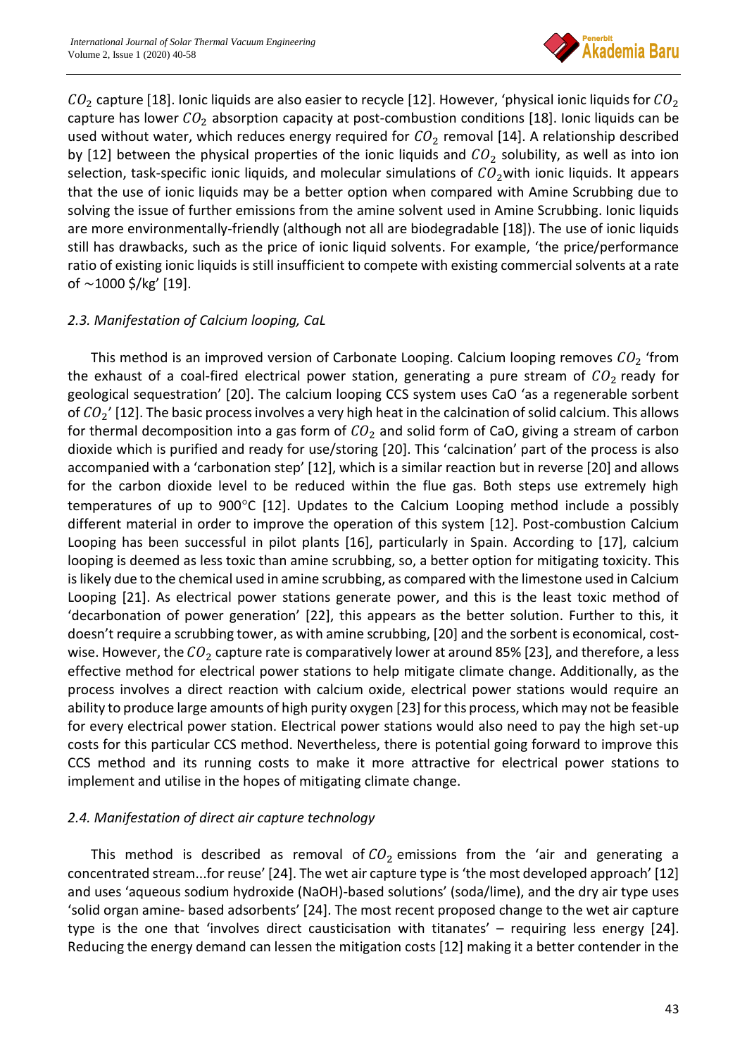

 $CO<sub>2</sub>$  capture [18]. Ionic liquids are also easier to recycle [12]. However, 'physical ionic liquids for  $CO<sub>2</sub>$ capture has lower  $CO<sub>2</sub>$  absorption capacity at post-combustion conditions [18]. Ionic liquids can be used without water, which reduces energy required for  $CO<sub>2</sub>$  removal [14]. A relationship described by [12] between the physical properties of the ionic liquids and  $CO_2$  solubility, as well as into ion selection, task-specific ionic liquids, and molecular simulations of  $CO<sub>2</sub>$  with ionic liquids. It appears that the use of ionic liquids may be a better option when compared with Amine Scrubbing due to solving the issue of further emissions from the amine solvent used in Amine Scrubbing. Ionic liquids are more environmentally-friendly (although not all are biodegradable [18]). The use of ionic liquids still has drawbacks, such as the price of ionic liquid solvents. For example, 'the price/performance ratio of existing ionic liquids is still insufficient to compete with existing commercial solvents at a rate of ∼1000 \$/kg' [19].

## *2.3. Manifestation of Calcium looping, CaL*

This method is an improved version of Carbonate Looping. Calcium looping removes  $CO<sub>2</sub>$  'from the exhaust of a coal-fired electrical power station, generating a pure stream of  $CO<sub>2</sub>$  ready for geological sequestration' [20]. The calcium looping CCS system uses CaO 'as a regenerable sorbent of  $CO_2'$  [12]. The basic process involves a very high heat in the calcination of solid calcium. This allows for thermal decomposition into a gas form of  $CO<sub>2</sub>$  and solid form of CaO, giving a stream of carbon dioxide which is purified and ready for use/storing [20]. This 'calcination' part of the process is also accompanied with a 'carbonation step' [12], which is a similar reaction but in reverse [20] and allows for the carbon dioxide level to be reduced within the flue gas. Both steps use extremely high temperatures of up to  $900^{\circ}$ C [12]. Updates to the Calcium Looping method include a possibly different material in order to improve the operation of this system [12]. Post-combustion Calcium Looping has been successful in pilot plants [16], particularly in Spain. According to [17], calcium looping is deemed as less toxic than amine scrubbing, so, a better option for mitigating toxicity. This is likely due to the chemical used in amine scrubbing, as compared with the limestone used in Calcium Looping [21]. As electrical power stations generate power, and this is the least toxic method of 'decarbonation of power generation' [22], this appears as the better solution. Further to this, it doesn't require a scrubbing tower, as with amine scrubbing, [20] and the sorbent is economical, costwise. However, the  $CO_2$  capture rate is comparatively lower at around 85% [23], and therefore, a less effective method for electrical power stations to help mitigate climate change. Additionally, as the process involves a direct reaction with calcium oxide, electrical power stations would require an ability to produce large amounts of high purity oxygen [23] for this process, which may not be feasible for every electrical power station. Electrical power stations would also need to pay the high set-up costs for this particular CCS method. Nevertheless, there is potential going forward to improve this CCS method and its running costs to make it more attractive for electrical power stations to implement and utilise in the hopes of mitigating climate change.

## *2.4. Manifestation of direct air capture technology*

This method is described as removal of  $CO<sub>2</sub>$  emissions from the 'air and generating a concentrated stream...for reuse' [24]. The wet air capture type is 'the most developed approach' [12] and uses 'aqueous sodium hydroxide (NaOH)-based solutions' (soda/lime), and the dry air type uses 'solid organ amine- based adsorbents' [24]. The most recent proposed change to the wet air capture type is the one that 'involves direct causticisation with titanates' – requiring less energy [24]. Reducing the energy demand can lessen the mitigation costs [12] making it a better contender in the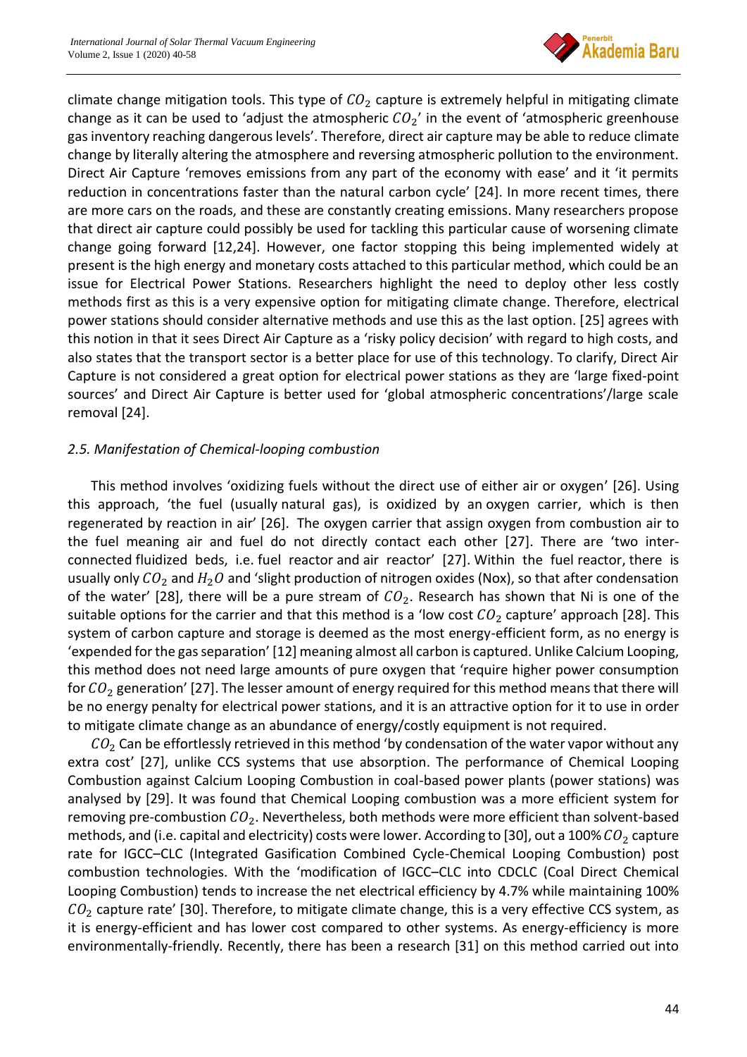

climate change mitigation tools. This type of  $CO<sub>2</sub>$  capture is extremely helpful in mitigating climate change as it can be used to 'adjust the atmospheric  $CO_2'$  in the event of 'atmospheric greenhouse gas inventory reaching dangerous levels'. Therefore, direct air capture may be able to reduce climate change by literally altering the atmosphere and reversing atmospheric pollution to the environment. Direct Air Capture 'removes emissions from any part of the economy with ease' and it 'it permits reduction in concentrations faster than the natural carbon cycle' [24]. In more recent times, there are more cars on the roads, and these are constantly creating emissions. Many researchers propose that direct air capture could possibly be used for tackling this particular cause of worsening climate change going forward [12,24]. However, one factor stopping this being implemented widely at present is the high energy and monetary costs attached to this particular method, which could be an issue for Electrical Power Stations. Researchers highlight the need to deploy other less costly methods first as this is a very expensive option for mitigating climate change. Therefore, electrical power stations should consider alternative methods and use this as the last option. [25] agrees with this notion in that it sees Direct Air Capture as a 'risky policy decision' with regard to high costs, and also states that the transport sector is a better place for use of this technology. To clarify, Direct Air Capture is not considered a great option for electrical power stations as they are 'large fixed-point sources' and Direct Air Capture is better used for 'global atmospheric concentrations'/large scale removal [24].

## *2.5. Manifestation of Chemical-looping combustion*

This method involves 'oxidizing fuels without the direct use of either air or oxygen' [26]. Using this approach, 'the fuel (usually natural gas), is oxidized by an oxygen carrier, which is then regenerated by reaction in air' [26]. The oxygen carrier that assign oxygen from combustion air to the fuel meaning air and fuel do not directly contact each other [27]. There are 'two interconnected fluidized beds, i.e. fuel reactor and air reactor' [27]. Within the fuel reactor, there is usually only  $CO_2$  and  $H_2O$  and 'slight production of nitrogen oxides (Nox), so that after condensation of the water' [28], there will be a pure stream of  $CO<sub>2</sub>$ . Research has shown that Ni is one of the suitable options for the carrier and that this method is a 'low cost  $CO_2$  capture' approach [28]. This system of carbon capture and storage is deemed as the most energy-efficient form, as no energy is 'expended for the gas separation' [12] meaning almost all carbon is captured. Unlike Calcium Looping, this method does not need large amounts of pure oxygen that 'require higher power consumption for  $CO<sub>2</sub>$  generation' [27]. The lesser amount of energy required for this method means that there will be no energy penalty for electrical power stations, and it is an attractive option for it to use in order to mitigate climate change as an abundance of energy/costly equipment is not required.

 $CO<sub>2</sub>$  Can be effortlessly retrieved in this method 'by condensation of the water vapor without any extra cost' [27], unlike CCS systems that use absorption. The performance of Chemical Looping Combustion against Calcium Looping Combustion in coal-based power plants (power stations) was analysed by [29]. It was found that Chemical Looping combustion was a more efficient system for removing pre-combustion  $CO<sub>2</sub>$ . Nevertheless, both methods were more efficient than solvent-based methods, and (i.e. capital and electricity) costs were lower. According to [30], out a 100%  $CO_2$  capture rate for IGCC–CLC (Integrated Gasification Combined Cycle-Chemical Looping Combustion) post combustion technologies. With the 'modification of IGCC–CLC into CDCLC (Coal Direct Chemical Looping Combustion) tends to increase the net electrical efficiency by 4.7% while maintaining 100%  $CO<sub>2</sub>$  capture rate' [30]. Therefore, to mitigate climate change, this is a very effective CCS system, as it is energy-efficient and has lower cost compared to other systems. As energy-efficiency is more environmentally-friendly. Recently, there has been a research [31] on this method carried out into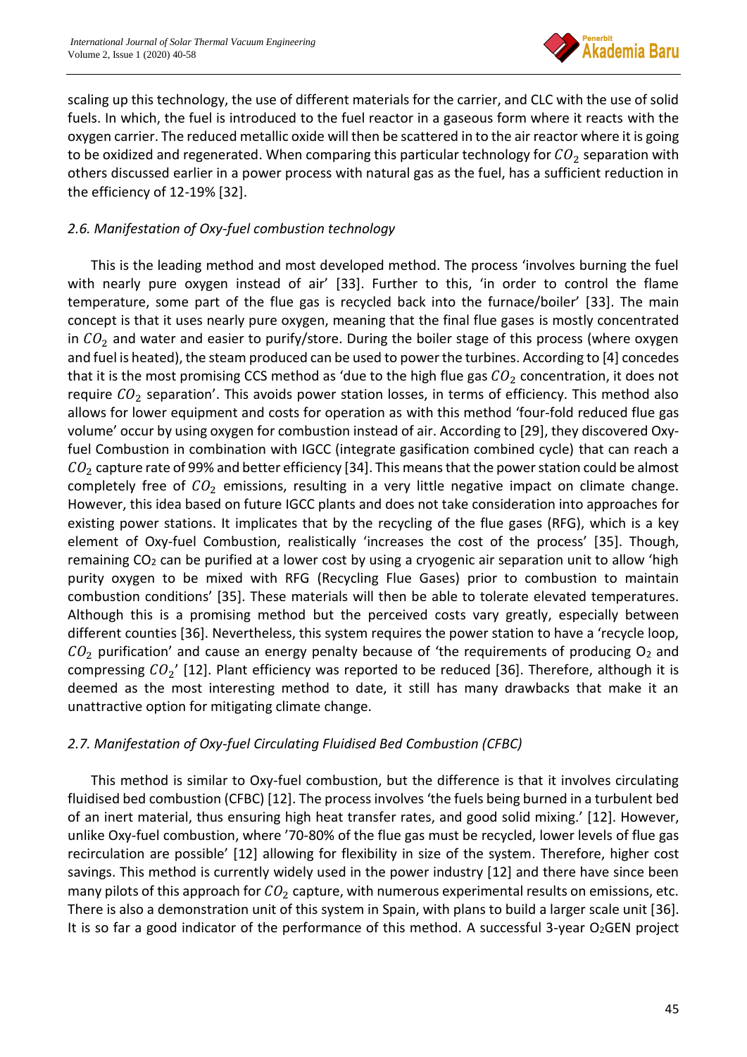

scaling up this technology, the use of different materials for the carrier, and CLC with the use of solid fuels. In which, the fuel is introduced to the fuel reactor in a gaseous form where it reacts with the oxygen carrier. The reduced metallic oxide will then be scattered in to the air reactor where it is going to be oxidized and regenerated. When comparing this particular technology for  $CO_2$  separation with others discussed earlier in a power process with natural gas as the fuel, has a sufficient reduction in the efficiency of 12-19% [32].

## *2.6. Manifestation of Oxy-fuel combustion technology*

This is the leading method and most developed method. The process 'involves burning the fuel with nearly pure oxygen instead of air' [33]. Further to this, 'in order to control the flame temperature, some part of the flue gas is recycled back into the furnace/boiler' [33]. The main concept is that it uses nearly pure oxygen, meaning that the final flue gases is mostly concentrated in  $CO<sub>2</sub>$  and water and easier to purify/store. During the boiler stage of this process (where oxygen and fuel is heated), the steam produced can be used to power the turbines. According to [4] concedes that it is the most promising CCS method as 'due to the high flue gas  $CO<sub>2</sub>$  concentration, it does not require  $CO_2$  separation'. This avoids power station losses, in terms of efficiency. This method also allows for lower equipment and costs for operation as with this method 'four-fold reduced flue gas volume' occur by using oxygen for combustion instead of air. According to [29], they discovered Oxyfuel Combustion in combination with IGCC (integrate gasification combined cycle) that can reach a  $CO<sub>2</sub>$  capture rate of 99% and better efficiency [34]. This means that the power station could be almost completely free of  $CO<sub>2</sub>$  emissions, resulting in a very little negative impact on climate change. However, this idea based on future IGCC plants and does not take consideration into approaches for existing power stations. It implicates that by the recycling of the flue gases (RFG), which is a key element of Oxy-fuel Combustion, realistically 'increases the cost of the process' [35]. Though, remaining CO<sub>2</sub> can be purified at a lower cost by using a cryogenic air separation unit to allow 'high purity oxygen to be mixed with RFG (Recycling Flue Gases) prior to combustion to maintain combustion conditions' [35]. These materials will then be able to tolerate elevated temperatures. Although this is a promising method but the perceived costs vary greatly, especially between different counties [36]. Nevertheless, this system requires the power station to have a 'recycle loop,  $CO<sub>2</sub>$  purification' and cause an energy penalty because of 'the requirements of producing  $O<sub>2</sub>$  and compressing  $CO_2'$  [12]. Plant efficiency was reported to be reduced [36]. Therefore, although it is deemed as the most interesting method to date, it still has many drawbacks that make it an unattractive option for mitigating climate change.

#### *2.7. Manifestation of Oxy-fuel Circulating Fluidised Bed Combustion (CFBC)*

This method is similar to Oxy-fuel combustion, but the difference is that it involves circulating fluidised bed combustion (CFBC) [12]. The process involves 'the fuels being burned in a turbulent bed of an inert material, thus ensuring high heat transfer rates, and good solid mixing.' [12]. However, unlike Oxy-fuel combustion, where '70-80% of the flue gas must be recycled, lower levels of flue gas recirculation are possible' [12] allowing for flexibility in size of the system. Therefore, higher cost savings. This method is currently widely used in the power industry [12] and there have since been many pilots of this approach for  $CO<sub>2</sub>$  capture, with numerous experimental results on emissions, etc. There is also a demonstration unit of this system in Spain, with plans to build a larger scale unit [36]. It is so far a good indicator of the performance of this method. A successful 3-year  $O<sub>2</sub>GEN$  project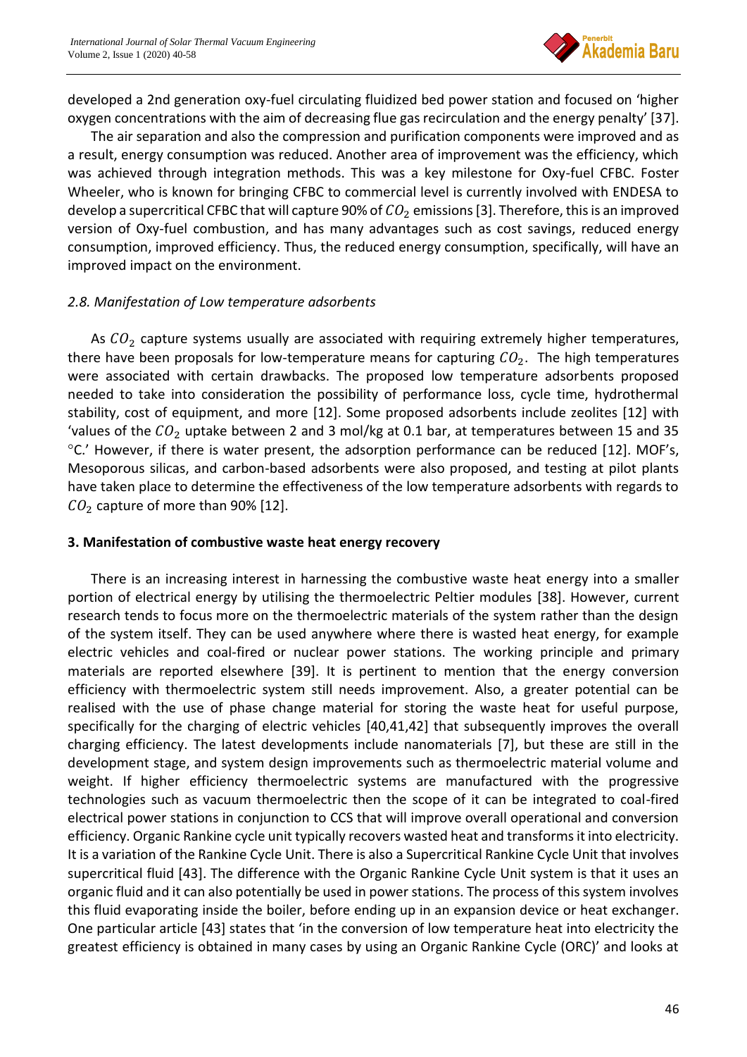

developed a 2nd generation oxy-fuel circulating fluidized bed power station and focused on 'higher oxygen concentrations with the aim of decreasing flue gas recirculation and the energy penalty' [37].

The air separation and also the compression and purification components were improved and as a result, energy consumption was reduced. Another area of improvement was the efficiency, which was achieved through integration methods. This was a key milestone for Oxy-fuel CFBC. Foster Wheeler, who is known for bringing CFBC to commercial level is currently involved with ENDESA to develop a supercritical CFBC that will capture 90% of  $CO<sub>2</sub>$  emissions [3]. Therefore, this is an improved version of Oxy-fuel combustion, and has many advantages such as cost savings, reduced energy consumption, improved efficiency. Thus, the reduced energy consumption, specifically, will have an improved impact on the environment.

## *2.8. Manifestation of Low temperature adsorbents*

As  $CO<sub>2</sub>$  capture systems usually are associated with requiring extremely higher temperatures, there have been proposals for low-temperature means for capturing  $CO<sub>2</sub>$ . The high temperatures were associated with certain drawbacks. The proposed low temperature adsorbents proposed needed to take into consideration the possibility of performance loss, cycle time, hydrothermal stability, cost of equipment, and more [12]. Some proposed adsorbents include zeolites [12] with 'values of the  $CO_2$  uptake between 2 and 3 mol/kg at 0.1 bar, at temperatures between 15 and 35  $\degree$ C.' However, if there is water present, the adsorption performance can be reduced [12]. MOF's, Mesoporous silicas, and carbon-based adsorbents were also proposed, and testing at pilot plants have taken place to determine the effectiveness of the low temperature adsorbents with regards to  $CO<sub>2</sub>$  capture of more than 90% [12].

#### **3. Manifestation of combustive waste heat energy recovery**

There is an increasing interest in harnessing the combustive waste heat energy into a smaller portion of electrical energy by utilising the thermoelectric Peltier modules [38]. However, current research tends to focus more on the thermoelectric materials of the system rather than the design of the system itself. They can be used anywhere where there is wasted heat energy, for example electric vehicles and coal-fired or nuclear power stations. The working principle and primary materials are reported elsewhere [39]. It is pertinent to mention that the energy conversion efficiency with thermoelectric system still needs improvement. Also, a greater potential can be realised with the use of phase change material for storing the waste heat for useful purpose, specifically for the charging of electric vehicles [40,41,42] that subsequently improves the overall charging efficiency. The latest developments include nanomaterials [7], but these are still in the development stage, and system design improvements such as thermoelectric material volume and weight. If higher efficiency thermoelectric systems are manufactured with the progressive technologies such as vacuum thermoelectric then the scope of it can be integrated to coal-fired electrical power stations in conjunction to CCS that will improve overall operational and conversion efficiency. Organic Rankine cycle unit typically recovers wasted heat and transforms it into electricity. It is a variation of the Rankine Cycle Unit. There is also a Supercritical Rankine Cycle Unit that involves supercritical fluid [43]. The difference with the Organic Rankine Cycle Unit system is that it uses an organic fluid and it can also potentially be used in power stations. The process of this system involves this fluid evaporating inside the boiler, before ending up in an expansion device or heat exchanger. One particular article [43] states that 'in the conversion of low temperature heat into electricity the greatest efficiency is obtained in many cases by using an Organic Rankine Cycle (ORC)' and looks at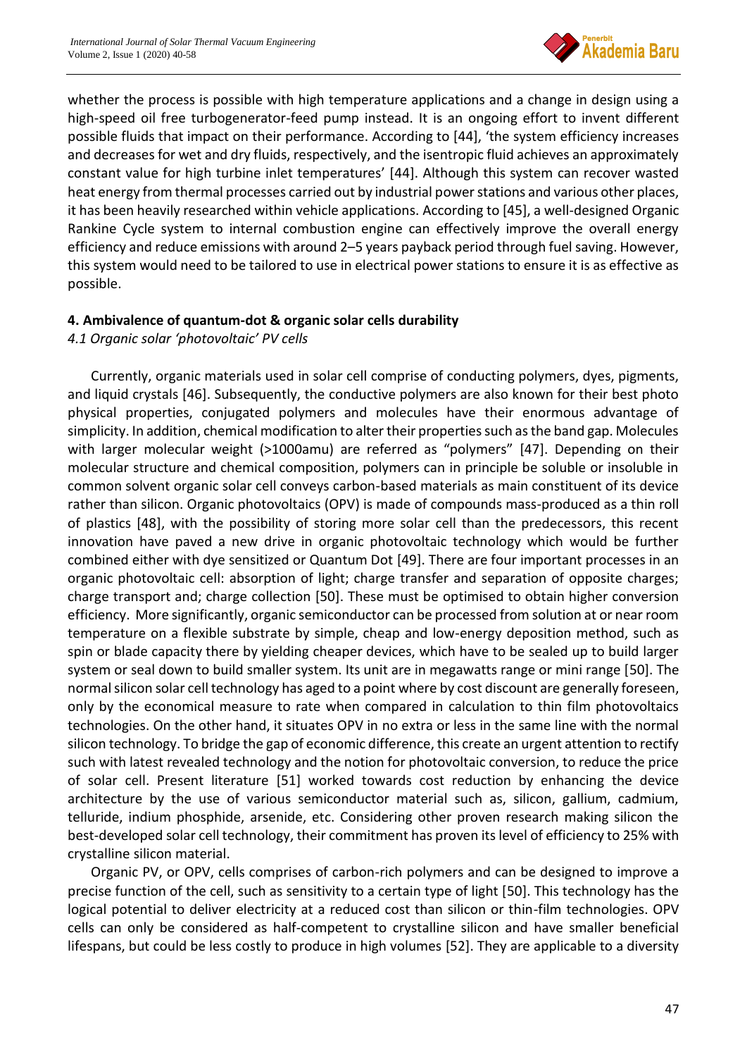

whether the process is possible with high temperature applications and a change in design using a high-speed oil free turbogenerator-feed pump instead. It is an ongoing effort to invent different possible fluids that impact on their performance. According to [44], 'the system efficiency increases and decreases for wet and dry fluids, respectively, and the isentropic fluid achieves an approximately constant value for high turbine inlet temperatures' [44]. Although this system can recover wasted heat energy from thermal processes carried out by industrial power stations and various other places, it has been heavily researched within vehicle applications. According to [45], a well-designed Organic Rankine Cycle system to internal combustion engine can effectively improve the overall energy efficiency and reduce emissions with around 2–5 years payback period through fuel saving. However, this system would need to be tailored to use in electrical power stations to ensure it is as effective as possible.

### **4. Ambivalence of quantum-dot & organic solar cells durability**

#### *4.1 Organic solar 'photovoltaic' PV cells*

Currently, organic materials used in solar cell comprise of conducting polymers, dyes, pigments, and liquid crystals [46]. Subsequently, the conductive polymers are also known for their best photo physical properties, conjugated polymers and molecules have their enormous advantage of simplicity. In addition, chemical modification to alter their properties such as the band gap. Molecules with larger molecular weight (>1000amu) are referred as "polymers" [47]. Depending on their molecular structure and chemical composition, polymers can in principle be soluble or insoluble in common solvent organic solar cell conveys carbon-based materials as main constituent of its device rather than silicon. Organic photovoltaics (OPV) is made of compounds mass-produced as a thin roll of plastics [48], with the possibility of storing more solar cell than the predecessors, this recent innovation have paved a new drive in organic photovoltaic technology which would be further combined either with dye sensitized or Quantum Dot [49]. There are four important processes in an organic photovoltaic cell: absorption of light; charge transfer and separation of opposite charges; charge transport and; charge collection [50]. These must be optimised to obtain higher conversion efficiency. More significantly, organic semiconductor can be processed from solution at or near room temperature on a flexible substrate by simple, cheap and low-energy deposition method, such as spin or blade capacity there by yielding cheaper devices, which have to be sealed up to build larger system or seal down to build smaller system. Its unit are in megawatts range or mini range [50]. The normal silicon solar cell technology has aged to a point where by cost discount are generally foreseen, only by the economical measure to rate when compared in calculation to thin film photovoltaics technologies. On the other hand, it situates OPV in no extra or less in the same line with the normal silicon technology. To bridge the gap of economic difference, this create an urgent attention to rectify such with latest revealed technology and the notion for photovoltaic conversion, to reduce the price of solar cell. Present literature [51] worked towards cost reduction by enhancing the device architecture by the use of various semiconductor material such as, silicon, gallium, cadmium, telluride, indium phosphide, arsenide, etc. Considering other proven research making silicon the best-developed solar cell technology, their commitment has proven its level of efficiency to 25% with crystalline silicon material.

Organic PV, or OPV, cells comprises of carbon-rich polymers and can be designed to improve a precise function of the cell, such as sensitivity to a certain type of light [50]. This technology has the logical potential to deliver electricity at a reduced cost than silicon or thin-film technologies. OPV cells can only be considered as half-competent to crystalline silicon and have smaller beneficial lifespans, but could be less costly to produce in high volumes [52]. They are applicable to a diversity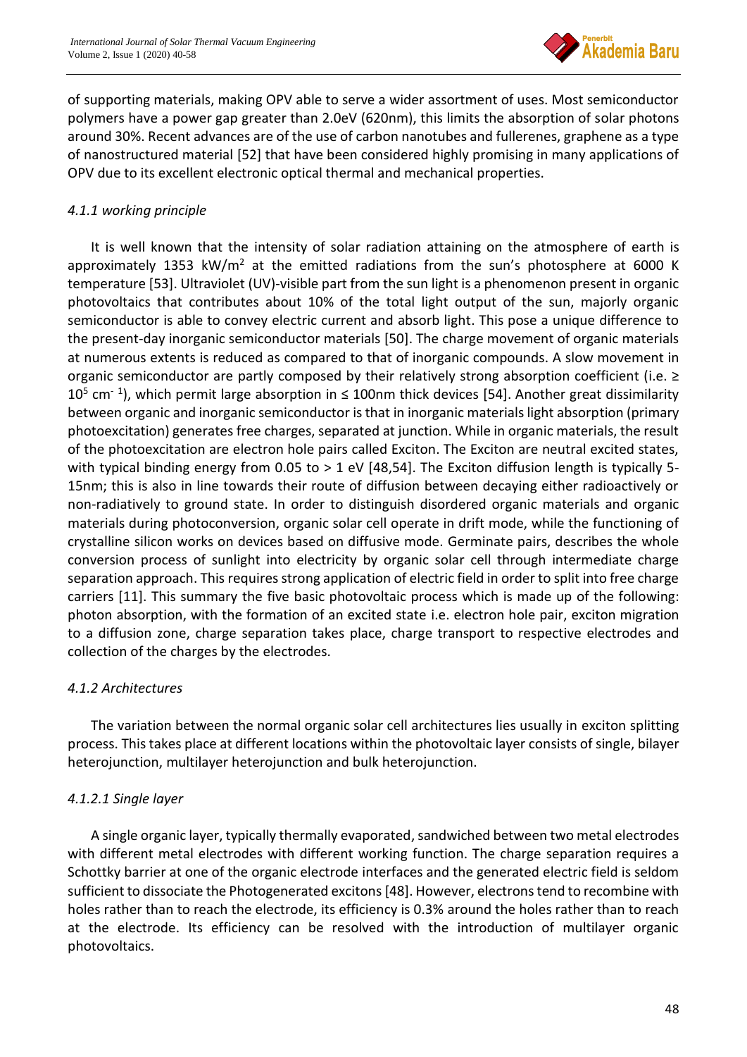

of supporting materials, making OPV able to serve a wider assortment of uses. Most semiconductor polymers have a power gap greater than 2.0eV (620nm), this limits the absorption of solar photons around 30%. Recent advances are of the use of carbon nanotubes and fullerenes, graphene as a type of nanostructured material [52] that have been considered highly promising in many applications of OPV due to its excellent electronic optical thermal and mechanical properties.

## *4.1.1 working principle*

It is well known that the intensity of solar radiation attaining on the atmosphere of earth is approximately 1353 kW/ $m<sup>2</sup>$  at the emitted radiations from the sun's photosphere at 6000 K temperature [53]. Ultraviolet (UV)-visible part from the sun light is a phenomenon present in organic photovoltaics that contributes about 10% of the total light output of the sun, majorly organic semiconductor is able to convey electric current and absorb light. This pose a unique difference to the present-day inorganic semiconductor materials [50]. The charge movement of organic materials at numerous extents is reduced as compared to that of inorganic compounds. A slow movement in organic semiconductor are partly composed by their relatively strong absorption coefficient (i.e. ≥  $10^5$  cm<sup>-1</sup>), which permit large absorption in  $\leq 100$ nm thick devices [54]. Another great dissimilarity between organic and inorganic semiconductor is that in inorganic materials light absorption (primary photoexcitation) generates free charges, separated at junction. While in organic materials, the result of the photoexcitation are electron hole pairs called Exciton. The Exciton are neutral excited states, with typical binding energy from 0.05 to  $> 1$  eV [48,54]. The Exciton diffusion length is typically 5-15nm; this is also in line towards their route of diffusion between decaying either radioactively or non-radiatively to ground state. In order to distinguish disordered organic materials and organic materials during photoconversion, organic solar cell operate in drift mode, while the functioning of crystalline silicon works on devices based on diffusive mode. Germinate pairs, describes the whole conversion process of sunlight into electricity by organic solar cell through intermediate charge separation approach. This requires strong application of electric field in order to split into free charge carriers [11]. This summary the five basic photovoltaic process which is made up of the following: photon absorption, with the formation of an excited state i.e. electron hole pair, exciton migration to a diffusion zone, charge separation takes place, charge transport to respective electrodes and collection of the charges by the electrodes.

## *4.1.2 Architectures*

The variation between the normal organic solar cell architectures lies usually in exciton splitting process. This takes place at different locations within the photovoltaic layer consists of single, bilayer heterojunction, multilayer heterojunction and bulk heterojunction.

## *4.1.2.1 Single layer*

A single organic layer, typically thermally evaporated, sandwiched between two metal electrodes with different metal electrodes with different working function. The charge separation requires a Schottky barrier at one of the organic electrode interfaces and the generated electric field is seldom sufficient to dissociate the Photogenerated excitons [48]. However, electrons tend to recombine with holes rather than to reach the electrode, its efficiency is 0.3% around the holes rather than to reach at the electrode. Its efficiency can be resolved with the introduction of multilayer organic photovoltaics.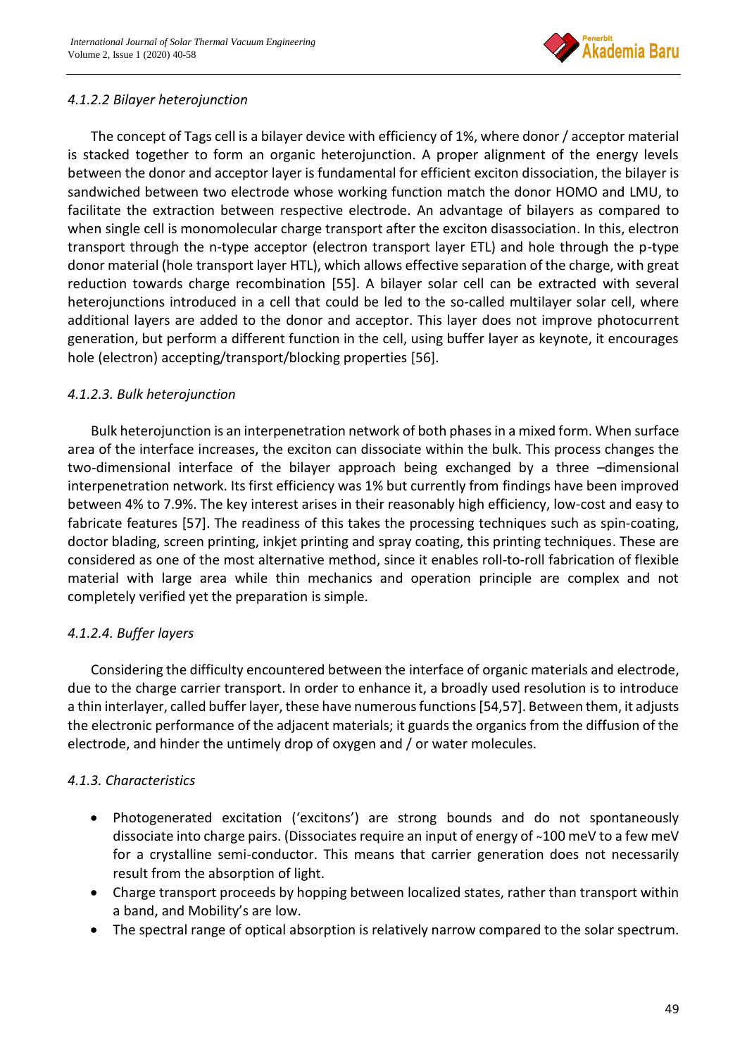

## *4.1.2.2 Bilayer heterojunction*

The concept of Tags cell is a bilayer device with efficiency of 1%, where donor / acceptor material is stacked together to form an organic heterojunction. A proper alignment of the energy levels between the donor and acceptor layer is fundamental for efficient exciton dissociation, the bilayer is sandwiched between two electrode whose working function match the donor HOMO and LMU, to facilitate the extraction between respective electrode. An advantage of bilayers as compared to when single cell is monomolecular charge transport after the exciton disassociation. In this, electron transport through the n-type acceptor (electron transport layer ETL) and hole through the p-type donor material (hole transport layer HTL), which allows effective separation of the charge, with great reduction towards charge recombination [55]. A bilayer solar cell can be extracted with several heterojunctions introduced in a cell that could be led to the so-called multilayer solar cell, where additional layers are added to the donor and acceptor. This layer does not improve photocurrent generation, but perform a different function in the cell, using buffer layer as keynote, it encourages hole (electron) accepting/transport/blocking properties [56].

## *4.1.2.3. Bulk heterojunction*

Bulk heterojunction is an interpenetration network of both phases in a mixed form. When surface area of the interface increases, the exciton can dissociate within the bulk. This process changes the two-dimensional interface of the bilayer approach being exchanged by a three –dimensional interpenetration network. Its first efficiency was 1% but currently from findings have been improved between 4% to 7.9%. The key interest arises in their reasonably high efficiency, low-cost and easy to fabricate features [57]. The readiness of this takes the processing techniques such as spin-coating, doctor blading, screen printing, inkjet printing and spray coating, this printing techniques. These are considered as one of the most alternative method, since it enables roll-to-roll fabrication of flexible material with large area while thin mechanics and operation principle are complex and not completely verified yet the preparation is simple.

## *4.1.2.4. Buffer layers*

Considering the difficulty encountered between the interface of organic materials and electrode, due to the charge carrier transport. In order to enhance it, a broadly used resolution is to introduce a thin interlayer, called buffer layer, these have numerous functions[54,57]. Between them, it adjusts the electronic performance of the adjacent materials; it guards the organics from the diffusion of the electrode, and hinder the untimely drop of oxygen and / or water molecules.

## *4.1.3. Characteristics*

- Photogenerated excitation ('excitons') are strong bounds and do not spontaneously dissociate into charge pairs. (Dissociates require an input of energy of ~100 meV to a few meV for a crystalline semi-conductor. This means that carrier generation does not necessarily result from the absorption of light.
- Charge transport proceeds by hopping between localized states, rather than transport within a band, and Mobility's are low.
- The spectral range of optical absorption is relatively narrow compared to the solar spectrum.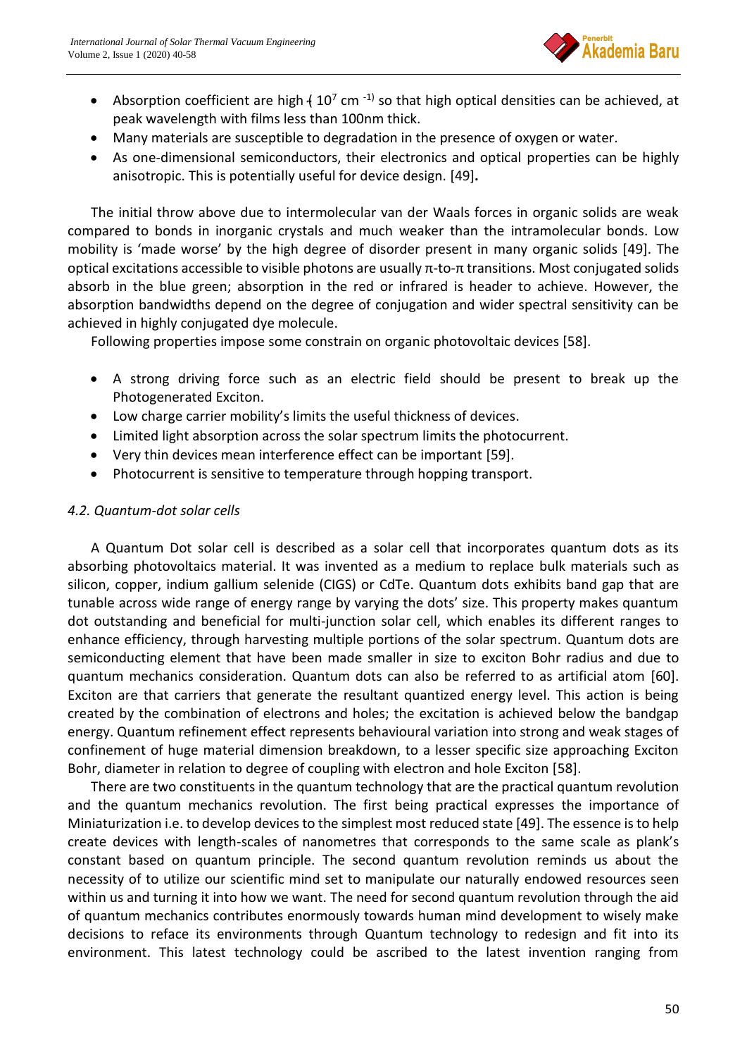

- Absorption coefficient are high  $(10^7 \text{ cm}^{-1})$  so that high optical densities can be achieved, at peak wavelength with films less than 100nm thick.
- Many materials are susceptible to degradation in the presence of oxygen or water.
- As one-dimensional semiconductors, their electronics and optical properties can be highly anisotropic. This is potentially useful for device design. [49]**.**

The initial throw above due to intermolecular van der Waals forces in organic solids are weak compared to bonds in inorganic crystals and much weaker than the intramolecular bonds. Low mobility is 'made worse' by the high degree of disorder present in many organic solids [49]. The optical excitations accessible to visible photons are usually π-to-π transitions. Most conjugated solids absorb in the blue green; absorption in the red or infrared is header to achieve. However, the absorption bandwidths depend on the degree of conjugation and wider spectral sensitivity can be achieved in highly conjugated dye molecule.

Following properties impose some constrain on organic photovoltaic devices [58].

- A strong driving force such as an electric field should be present to break up the Photogenerated Exciton.
- Low charge carrier mobility's limits the useful thickness of devices.
- Limited light absorption across the solar spectrum limits the photocurrent.
- Very thin devices mean interference effect can be important [59].
- Photocurrent is sensitive to temperature through hopping transport.

#### *4.2. Quantum-dot solar cells*

A Quantum Dot solar cell is described as a solar cell that incorporates quantum dots as its absorbing photovoltaics material. It was invented as a medium to replace bulk materials such as silicon, copper, indium gallium selenide (CIGS) or CdTe. Quantum dots exhibits band gap that are tunable across wide range of energy range by varying the dots' size. This property makes quantum dot outstanding and beneficial for multi-junction solar cell, which enables its different ranges to enhance efficiency, through harvesting multiple portions of the solar spectrum. Quantum dots are semiconducting element that have been made smaller in size to exciton Bohr radius and due to quantum mechanics consideration. Quantum dots can also be referred to as artificial atom [60]. Exciton are that carriers that generate the resultant quantized energy level. This action is being created by the combination of electrons and holes; the excitation is achieved below the bandgap energy. Quantum refinement effect represents behavioural variation into strong and weak stages of confinement of huge material dimension breakdown, to a lesser specific size approaching Exciton Bohr, diameter in relation to degree of coupling with electron and hole Exciton [58].

There are two constituents in the quantum technology that are the practical quantum revolution and the quantum mechanics revolution. The first being practical expresses the importance of Miniaturization i.e. to develop devices to the simplest most reduced state [49]. The essence is to help create devices with length-scales of nanometres that corresponds to the same scale as plank's constant based on quantum principle. The second quantum revolution reminds us about the necessity of to utilize our scientific mind set to manipulate our naturally endowed resources seen within us and turning it into how we want. The need for second quantum revolution through the aid of quantum mechanics contributes enormously towards human mind development to wisely make decisions to reface its environments through Quantum technology to redesign and fit into its environment. This latest technology could be ascribed to the latest invention ranging from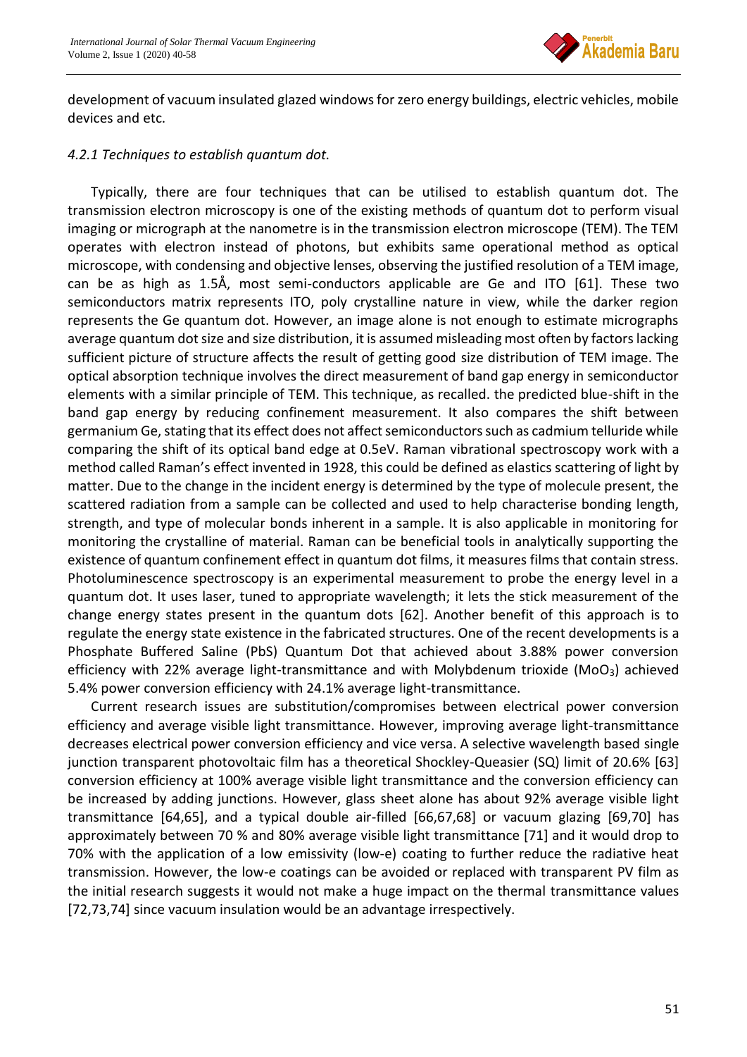

development of vacuum insulated glazed windows for zero energy buildings, electric vehicles, mobile devices and etc.

### *4.2.1 Techniques to establish quantum dot.*

Typically, there are four techniques that can be utilised to establish quantum dot. The transmission electron microscopy is one of the existing methods of quantum dot to perform visual imaging or micrograph at the nanometre is in the transmission electron microscope (TEM). The TEM operates with electron instead of photons, but exhibits same operational method as optical microscope, with condensing and objective lenses, observing the justified resolution of a TEM image, can be as high as 1.5Å, most semi-conductors applicable are Ge and ITO [61]. These two semiconductors matrix represents ITO, poly crystalline nature in view, while the darker region represents the Ge quantum dot. However, an image alone is not enough to estimate micrographs average quantum dot size and size distribution, it is assumed misleading most often by factors lacking sufficient picture of structure affects the result of getting good size distribution of TEM image. The optical absorption technique involves the direct measurement of band gap energy in semiconductor elements with a similar principle of TEM. This technique, as recalled. the predicted blue-shift in the band gap energy by reducing confinement measurement. It also compares the shift between germanium Ge, stating that its effect does not affect semiconductors such as cadmium telluride while comparing the shift of its optical band edge at 0.5eV. Raman vibrational spectroscopy work with a method called Raman's effect invented in 1928, this could be defined as elastics scattering of light by matter. Due to the change in the incident energy is determined by the type of molecule present, the scattered radiation from a sample can be collected and used to help characterise bonding length, strength, and type of molecular bonds inherent in a sample. It is also applicable in monitoring for monitoring the crystalline of material. Raman can be beneficial tools in analytically supporting the existence of quantum confinement effect in quantum dot films, it measures films that contain stress. Photoluminescence spectroscopy is an experimental measurement to probe the energy level in a quantum dot. It uses laser, tuned to appropriate wavelength; it lets the stick measurement of the change energy states present in the quantum dots [62]. Another benefit of this approach is to regulate the energy state existence in the fabricated structures. One of the recent developments is a Phosphate Buffered Saline (PbS) Quantum Dot that achieved about 3.88% power conversion efficiency with 22% average light-transmittance and with Molybdenum trioxide (MoO<sub>3</sub>) achieved 5.4% power conversion efficiency with 24.1% average light-transmittance.

Current research issues are substitution/compromises between electrical power conversion efficiency and average visible light transmittance. However, improving average light-transmittance decreases electrical power conversion efficiency and vice versa. A selective wavelength based single junction transparent photovoltaic film has a theoretical Shockley-Queasier (SQ) limit of 20.6% [63] conversion efficiency at 100% average visible light transmittance and the conversion efficiency can be increased by adding junctions. However, glass sheet alone has about 92% average visible light transmittance [64,65], and a typical double air-filled [66,67,68] or vacuum glazing [69,70] has approximately between 70 % and 80% average visible light transmittance [71] and it would drop to 70% with the application of a low emissivity (low-e) coating to further reduce the radiative heat transmission. However, the low-e coatings can be avoided or replaced with transparent PV film as the initial research suggests it would not make a huge impact on the thermal transmittance values [72,73,74] since vacuum insulation would be an advantage irrespectively.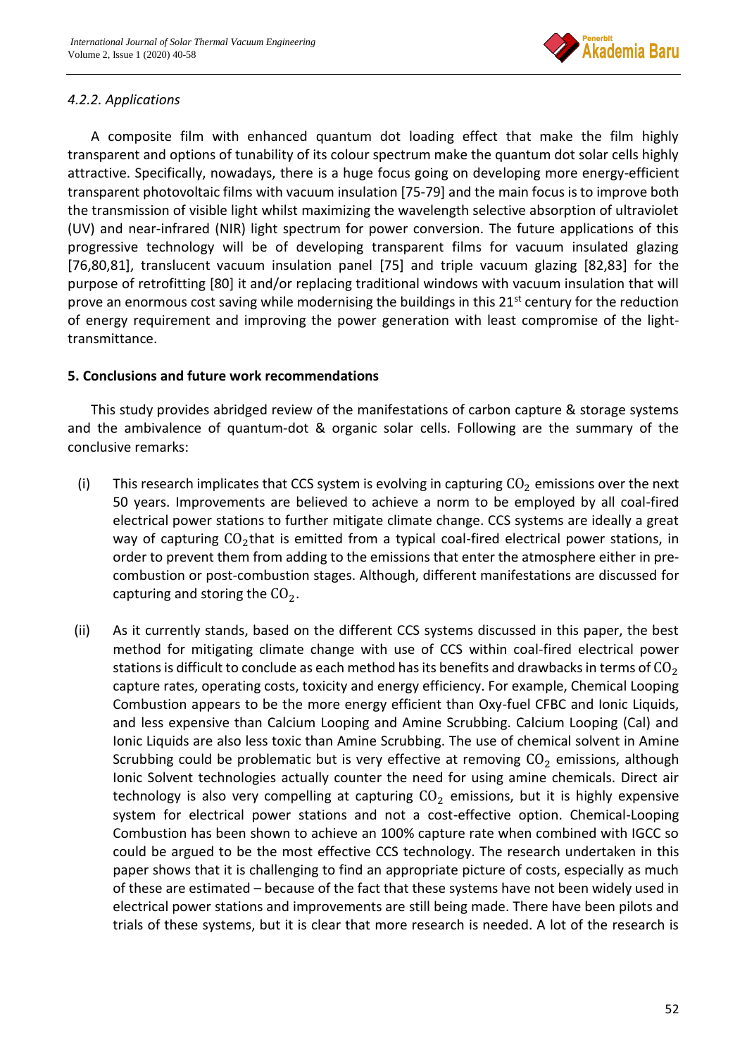

## *4.2.2. Applications*

A composite film with enhanced quantum dot loading effect that make the film highly transparent and options of tunability of its colour spectrum make the quantum dot solar cells highly attractive. Specifically, nowadays, there is a huge focus going on developing more energy-efficient transparent photovoltaic films with vacuum insulation [75-79] and the main focus is to improve both the transmission of visible light whilst maximizing the wavelength selective absorption of ultraviolet (UV) and near-infrared (NIR) light spectrum for power conversion. The future applications of this progressive technology will be of developing transparent films for vacuum insulated glazing [76,80,81], translucent vacuum insulation panel [75] and triple vacuum glazing [82,83] for the purpose of retrofitting [80] it and/or replacing traditional windows with vacuum insulation that will prove an enormous cost saving while modernising the buildings in this  $21<sup>st</sup>$  century for the reduction of energy requirement and improving the power generation with least compromise of the lighttransmittance.

### **5. Conclusions and future work recommendations**

This study provides abridged review of the manifestations of carbon capture & storage systems and the ambivalence of quantum-dot & organic solar cells. Following are the summary of the conclusive remarks:

- (i) This research implicates that CCS system is evolving in capturing  $CO<sub>2</sub>$  emissions over the next 50 years. Improvements are believed to achieve a norm to be employed by all coal-fired electrical power stations to further mitigate climate change. CCS systems are ideally a great way of capturing  $CO<sub>2</sub>$ that is emitted from a typical coal-fired electrical power stations, in order to prevent them from adding to the emissions that enter the atmosphere either in precombustion or post-combustion stages. Although, different manifestations are discussed for capturing and storing the  $CO<sub>2</sub>$ .
- (ii) As it currently stands, based on the different CCS systems discussed in this paper, the best method for mitigating climate change with use of CCS within coal-fired electrical power stations is difficult to conclude as each method has its benefits and drawbacks in terms of  $CO<sub>2</sub>$ capture rates, operating costs, toxicity and energy efficiency. For example, Chemical Looping Combustion appears to be the more energy efficient than Oxy-fuel CFBC and Ionic Liquids, and less expensive than Calcium Looping and Amine Scrubbing. Calcium Looping (Cal) and Ionic Liquids are also less toxic than Amine Scrubbing. The use of chemical solvent in Amine Scrubbing could be problematic but is very effective at removing  $CO<sub>2</sub>$  emissions, although Ionic Solvent technologies actually counter the need for using amine chemicals. Direct air technology is also very compelling at capturing  $CO<sub>2</sub>$  emissions, but it is highly expensive system for electrical power stations and not a cost-effective option. Chemical-Looping Combustion has been shown to achieve an 100% capture rate when combined with IGCC so could be argued to be the most effective CCS technology. The research undertaken in this paper shows that it is challenging to find an appropriate picture of costs, especially as much of these are estimated – because of the fact that these systems have not been widely used in electrical power stations and improvements are still being made. There have been pilots and trials of these systems, but it is clear that more research is needed. A lot of the research is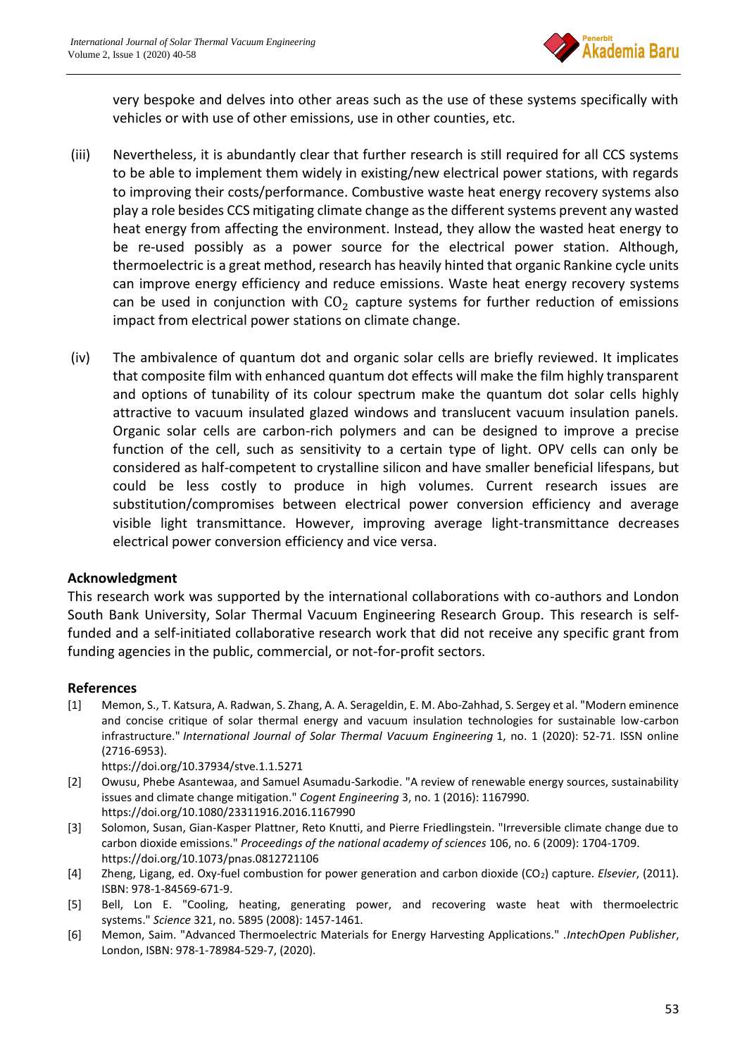

very bespoke and delves into other areas such as the use of these systems specifically with vehicles or with use of other emissions, use in other counties, etc.

- (iii) Nevertheless, it is abundantly clear that further research is still required for all CCS systems to be able to implement them widely in existing/new electrical power stations, with regards to improving their costs/performance. Combustive waste heat energy recovery systems also play a role besides CCS mitigating climate change as the different systems prevent any wasted heat energy from affecting the environment. Instead, they allow the wasted heat energy to be re-used possibly as a power source for the electrical power station. Although, thermoelectric is a great method, research has heavily hinted that organic Rankine cycle units can improve energy efficiency and reduce emissions. Waste heat energy recovery systems can be used in conjunction with  $CO<sub>2</sub>$  capture systems for further reduction of emissions impact from electrical power stations on climate change.
- (iv) The ambivalence of quantum dot and organic solar cells are briefly reviewed. It implicates that composite film with enhanced quantum dot effects will make the film highly transparent and options of tunability of its colour spectrum make the quantum dot solar cells highly attractive to vacuum insulated glazed windows and translucent vacuum insulation panels. Organic solar cells are carbon-rich polymers and can be designed to improve a precise function of the cell, such as sensitivity to a certain type of light. OPV cells can only be considered as half-competent to crystalline silicon and have smaller beneficial lifespans, but could be less costly to produce in high volumes. Current research issues are substitution/compromises between electrical power conversion efficiency and average visible light transmittance. However, improving average light-transmittance decreases electrical power conversion efficiency and vice versa.

#### **Acknowledgment**

This research work was supported by the international collaborations with co-authors and London South Bank University, Solar Thermal Vacuum Engineering Research Group. This research is selffunded and a self-initiated collaborative research work that did not receive any specific grant from funding agencies in the public, commercial, or not-for-profit sectors.

#### **References**

[1] Memon, S., T. Katsura, A. Radwan, S. Zhang, A. A. Serageldin, E. M. Abo-Zahhad, S. Sergey et al. "Modern eminence and concise critique of solar thermal energy and vacuum insulation technologies for sustainable low-carbon infrastructure." *International Journal of Solar Thermal Vacuum Engineering* 1, no. 1 (2020): 52-71. ISSN online (2716-6953).

<https://doi.org/10.37934/stve.1.1.5271>

- [2] Owusu, Phebe Asantewaa, and Samuel Asumadu-Sarkodie. "A review of renewable energy sources, sustainability issues and climate change mitigation." *Cogent Engineering* 3, no. 1 (2016): 1167990. <https://doi.org/10.1080/23311916.2016.1167990>
- [3] Solomon, Susan, Gian-Kasper Plattner, Reto Knutti, and Pierre Friedlingstein. "Irreversible climate change due to carbon dioxide emissions." *Proceedings of the national academy of sciences* 106, no. 6 (2009): 1704-1709. <https://doi.org/10.1073/pnas.0812721106>
- [4] Zheng, Ligang, ed. Oxy-fuel combustion for power generation and carbon dioxide (CO<sub>2</sub>) capture. *Elsevier*, (2011). ISBN: 978-1-84569-671-9.
- [5] Bell, Lon E. "Cooling, heating, generating power, and recovering waste heat with thermoelectric systems." *Science* 321, no. 5895 (2008): 1457-1461.
- [6] Memon, Saim. "Advanced Thermoelectric Materials for Energy Harvesting Applications." .*IntechOpen Publisher*, London, ISBN: 978-1-78984-529-7, (2020).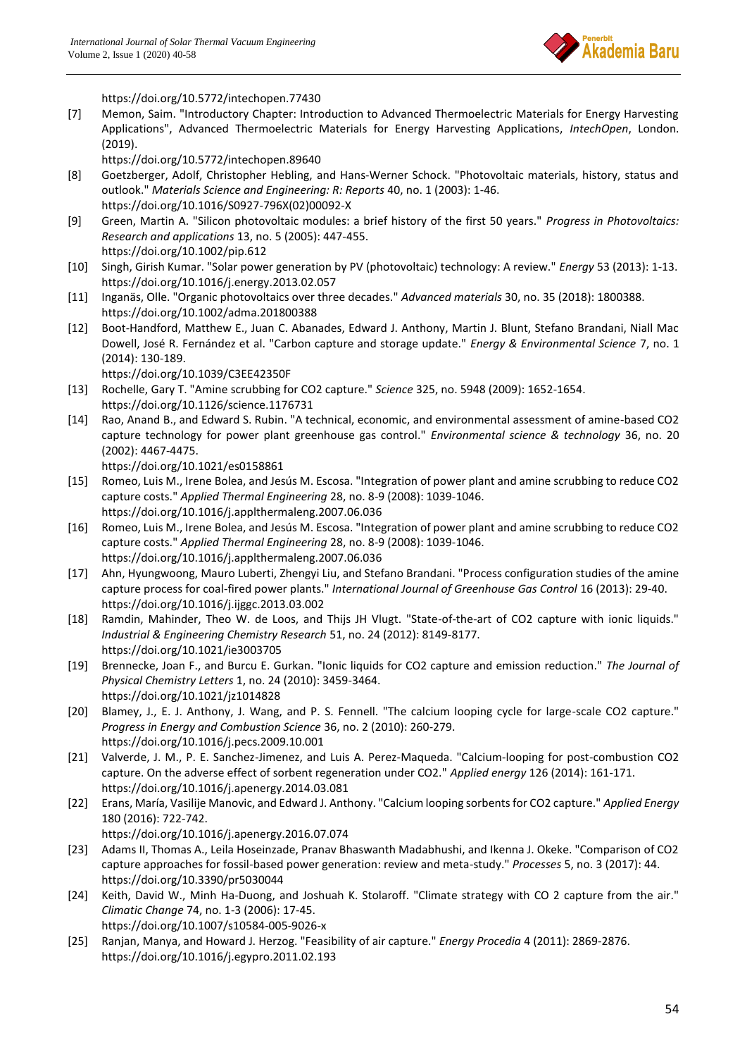

<https://doi.org/10.5772/intechopen.77430> [7] Memon, Saim. "Introductory Chapter: Introduction to Advanced Thermoelectric Materials for Energy Harvesting Applications", Advanced Thermoelectric Materials for Energy Harvesting Applications, *IntechOpen*, London. (2019). <https://doi.org/10.5772/intechopen.89640> [8] Goetzberger, Adolf, Christopher Hebling, and Hans-Werner Schock. "Photovoltaic materials, history, status and outlook." *Materials Science and Engineering: R: Reports* 40, no. 1 (2003): 1-46. [https://doi.org/10.1016/S0927-796X\(02\)00092-X](https://doi.org/10.1016/S0927-796X(02)00092-X) [9] Green, Martin A. "Silicon photovoltaic modules: a brief history of the first 50 years." *Progress in Photovoltaics: Research and applications* 13, no. 5 (2005): 447-455. <https://doi.org/10.1002/pip.612> [10] Singh, Girish Kumar. "Solar power generation by PV (photovoltaic) technology: A review." *Energy* 53 (2013): 1-13. <https://doi.org/10.1016/j.energy.2013.02.057> [11] Inganäs, Olle. "Organic photovoltaics over three decades." *Advanced materials* 30, no. 35 (2018): 1800388. <https://doi.org/10.1002/adma.201800388> [12] Boot-Handford, Matthew E., Juan C. Abanades, Edward J. Anthony, Martin J. Blunt, Stefano Brandani, Niall Mac Dowell, José R. Fernández et al. "Carbon capture and storage update." *Energy & Environmental Science* 7, no. 1 (2014): 130-189. <https://doi.org/10.1039/C3EE42350F> [13] Rochelle, Gary T. "Amine scrubbing for CO2 capture." *Science* 325, no. 5948 (2009): 1652-1654. <https://doi.org/10.1126/science.1176731> [14] Rao, Anand B., and Edward S. Rubin. "A technical, economic, and environmental assessment of amine-based CO2 capture technology for power plant greenhouse gas control." *Environmental science & technology* 36, no. 20 (2002): 4467-4475. <https://doi.org/10.1021/es0158861> [15] Romeo, Luis M., Irene Bolea, and Jesús M. Escosa. "Integration of power plant and amine scrubbing to reduce CO2 capture costs." *Applied Thermal Engineering* 28, no. 8-9 (2008): 1039-1046. <https://doi.org/10.1016/j.applthermaleng.2007.06.036> [16] Romeo, Luis M., Irene Bolea, and Jesús M. Escosa. "Integration of power plant and amine scrubbing to reduce CO2 capture costs." *Applied Thermal Engineering* 28, no. 8-9 (2008): 1039-1046. <https://doi.org/10.1016/j.applthermaleng.2007.06.036> [17] Ahn, Hyungwoong, Mauro Luberti, Zhengyi Liu, and Stefano Brandani. "Process configuration studies of the amine capture process for coal-fired power plants." *International Journal of Greenhouse Gas Control* 16 (2013): 29-40. <https://doi.org/10.1016/j.ijggc.2013.03.002> [18] Ramdin, Mahinder, Theo W. de Loos, and Thijs JH Vlugt. "State-of-the-art of CO2 capture with ionic liquids." *Industrial & Engineering Chemistry Research* 51, no. 24 (2012): 8149-8177. <https://doi.org/10.1021/ie3003705> [19] Brennecke, Joan F., and Burcu E. Gurkan. "Ionic liquids for CO2 capture and emission reduction." *The Journal of Physical Chemistry Letters* 1, no. 24 (2010): 3459-3464. <https://doi.org/10.1021/jz1014828> [20] Blamey, J., E. J. Anthony, J. Wang, and P. S. Fennell. "The calcium looping cycle for large-scale CO2 capture." *Progress in Energy and Combustion Science* 36, no. 2 (2010): 260-279. <https://doi.org/10.1016/j.pecs.2009.10.001> [21] Valverde, J. M., P. E. Sanchez-Jimenez, and Luis A. Perez-Maqueda. "Calcium-looping for post-combustion CO2 capture. On the adverse effect of sorbent regeneration under CO2." *Applied energy* 126 (2014): 161-171. <https://doi.org/10.1016/j.apenergy.2014.03.081> [22] Erans, María, Vasilije Manovic, and Edward J. Anthony. "Calcium looping sorbents for CO2 capture." *Applied Energy* 180 (2016): 722-742. <https://doi.org/10.1016/j.apenergy.2016.07.074> [23] Adams II, Thomas A., Leila Hoseinzade, Pranav Bhaswanth Madabhushi, and Ikenna J. Okeke. "Comparison of CO2 capture approaches for fossil-based power generation: review and meta-study." *Processes* 5, no. 3 (2017): 44. <https://doi.org/10.3390/pr5030044> [24] Keith, David W., Minh Ha-Duong, and Joshuah K. Stolaroff. "Climate strategy with CO 2 capture from the air." *Climatic Change* 74, no. 1-3 (2006): 17-45. <https://doi.org/10.1007/s10584-005-9026-x> [25] Ranjan, Manya, and Howard J. Herzog. "Feasibility of air capture." *Energy Procedia* 4 (2011): 2869-2876. <https://doi.org/10.1016/j.egypro.2011.02.193>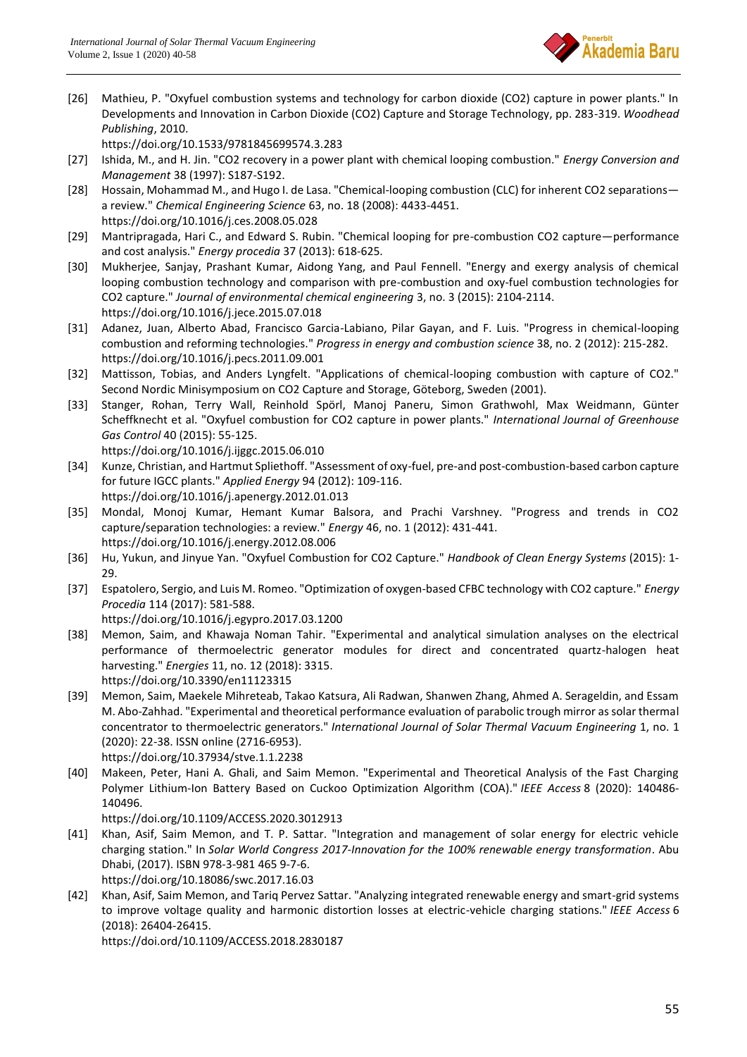

[26] Mathieu, P. "Oxyfuel combustion systems and technology for carbon dioxide (CO2) capture in power plants." In Developments and Innovation in Carbon Dioxide (CO2) Capture and Storage Technology, pp. 283-319. *Woodhead Publishing*, 2010.

<https://doi.org/10.1533/9781845699574.3.283>

- [27] Ishida, M., and H. Jin. "CO2 recovery in a power plant with chemical looping combustion." *Energy Conversion and Management* 38 (1997): S187-S192.
- [28] Hossain, Mohammad M., and Hugo I. de Lasa. "Chemical-looping combustion (CLC) for inherent CO2 separations a review." *Chemical Engineering Science* 63, no. 18 (2008): 4433-4451. <https://doi.org/10.1016/j.ces.2008.05.028>
- [29] Mantripragada, Hari C., and Edward S. Rubin. "Chemical looping for pre-combustion CO2 capture—performance and cost analysis." *Energy procedia* 37 (2013): 618-625.
- [30] Mukherjee, Sanjay, Prashant Kumar, Aidong Yang, and Paul Fennell. "Energy and exergy analysis of chemical looping combustion technology and comparison with pre-combustion and oxy-fuel combustion technologies for CO2 capture." *Journal of environmental chemical engineering* 3, no. 3 (2015): 2104-2114. <https://doi.org/10.1016/j.jece.2015.07.018>
- [31] Adanez, Juan, Alberto Abad, Francisco Garcia-Labiano, Pilar Gayan, and F. Luis. "Progress in chemical-looping combustion and reforming technologies." *Progress in energy and combustion science* 38, no. 2 (2012): 215-282. <https://doi.org/10.1016/j.pecs.2011.09.001>
- [32] Mattisson, Tobias, and Anders Lyngfelt. "Applications of chemical-looping combustion with capture of CO2." Second Nordic Minisymposium on CO2 Capture and Storage, Göteborg, Sweden (2001).
- [33] Stanger, Rohan, Terry Wall, Reinhold Spörl, Manoj Paneru, Simon Grathwohl, Max Weidmann, Günter Scheffknecht et al. "Oxyfuel combustion for CO2 capture in power plants." *International Journal of Greenhouse Gas Control* 40 (2015): 55-125.

<https://doi.org/10.1016/j.ijggc.2015.06.010>

- [34] Kunze, Christian, and Hartmut Spliethoff. "Assessment of oxy-fuel, pre-and post-combustion-based carbon capture for future IGCC plants." *Applied Energy* 94 (2012): 109-116. <https://doi.org/10.1016/j.apenergy.2012.01.013>
- [35] Mondal, Monoj Kumar, Hemant Kumar Balsora, and Prachi Varshney. "Progress and trends in CO2 capture/separation technologies: a review." *Energy* 46, no. 1 (2012): 431-441. <https://doi.org/10.1016/j.energy.2012.08.006>
- [36] Hu, Yukun, and Jinyue Yan. "Oxyfuel Combustion for CO2 Capture." *Handbook of Clean Energy Systems* (2015): 1- 29.
- [37] Espatolero, Sergio, and Luis M. Romeo. "Optimization of oxygen-based CFBC technology with CO2 capture." *Energy Procedia* 114 (2017): 581-588.

<https://doi.org/10.1016/j.egypro.2017.03.1200>

- [38] Memon, Saim, and Khawaja Noman Tahir. "Experimental and analytical simulation analyses on the electrical performance of thermoelectric generator modules for direct and concentrated quartz-halogen heat harvesting." *Energies* 11, no. 12 (2018): 3315. <https://doi.org/10.3390/en11123315>
- [39] Memon, Saim, Maekele Mihreteab, Takao Katsura, Ali Radwan, Shanwen Zhang, Ahmed A. Serageldin, and Essam M. Abo-Zahhad. "Experimental and theoretical performance evaluation of parabolic trough mirror as solar thermal concentrator to thermoelectric generators." *International Journal of Solar Thermal Vacuum Engineering* 1, no. 1 (2020): 22-38. ISSN online (2716-6953).
	- <https://doi.org/10.37934/stve.1.1.2238>
- [40] Makeen, Peter, Hani A. Ghali, and Saim Memon. "Experimental and Theoretical Analysis of the Fast Charging Polymer Lithium-Ion Battery Based on Cuckoo Optimization Algorithm (COA)." *IEEE Access* 8 (2020): 140486- 140496.

<https://doi.org/10.1109/ACCESS.2020.3012913>

[41] Khan, Asif, Saim Memon, and T. P. Sattar. "Integration and management of solar energy for electric vehicle charging station." In *Solar World Congress 2017-Innovation for the 100% renewable energy transformation*. Abu Dhabi, (2017). ISBN 978-3-981 465 9-7-6.

<https://doi.org/10.18086/swc.2017.16.03>

[42] Khan, Asif, Saim Memon, and Tariq Pervez Sattar. "Analyzing integrated renewable energy and smart-grid systems to improve voltage quality and harmonic distortion losses at electric-vehicle charging stations." *IEEE Access* 6 (2018): 26404-26415.

<https://doi.ord/10.1109/ACCESS.2018.2830187>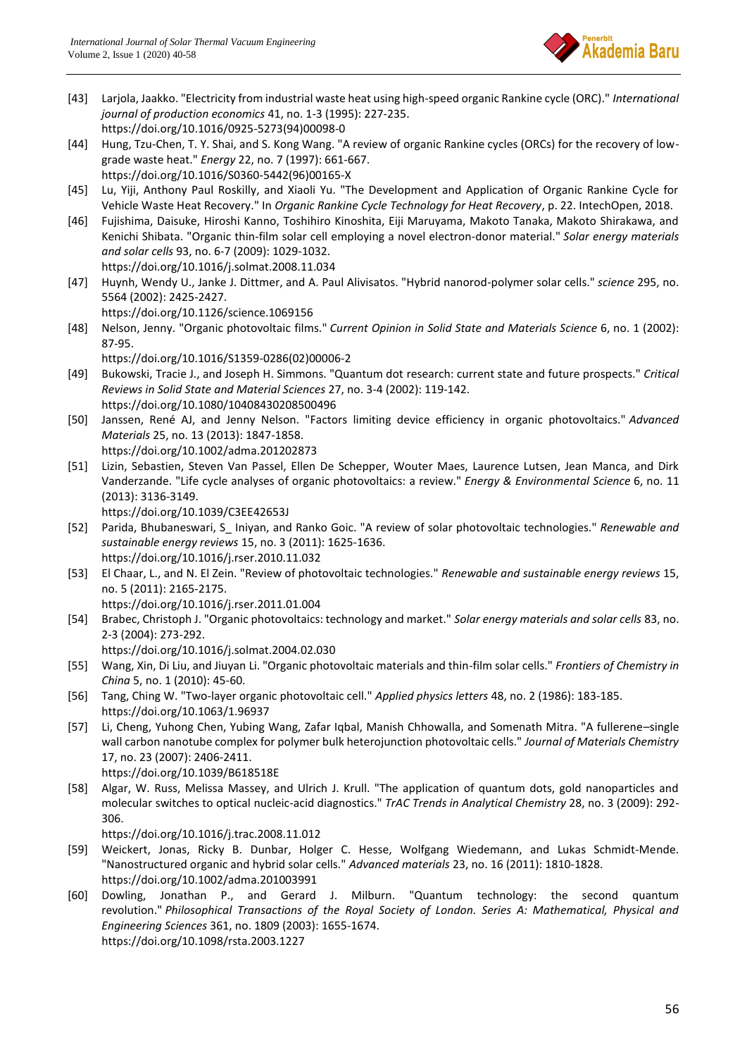

- [43] Larjola, Jaakko. "Electricity from industrial waste heat using high-speed organic Rankine cycle (ORC)." *International journal of production economics* 41, no. 1-3 (1995): 227-235. [https://doi.org/10.1016/0925-5273\(94\)00098-0](https://doi.org/10.1016/0925-5273(94)00098-0)
- [44] Hung, Tzu-Chen, T. Y. Shai, and S. Kong Wang. "A review of organic Rankine cycles (ORCs) for the recovery of lowgrade waste heat." *Energy* 22, no. 7 (1997): 661-667.

[https://doi.org/10.1016/S0360-5442\(96\)00165-X](https://doi.org/10.1016/S0360-5442(96)00165-X)

- [45] Lu, Yiji, Anthony Paul Roskilly, and Xiaoli Yu. "The Development and Application of Organic Rankine Cycle for Vehicle Waste Heat Recovery." In *Organic Rankine Cycle Technology for Heat Recovery*, p. 22. IntechOpen, 2018.
- [46] Fujishima, Daisuke, Hiroshi Kanno, Toshihiro Kinoshita, Eiji Maruyama, Makoto Tanaka, Makoto Shirakawa, and Kenichi Shibata. "Organic thin-film solar cell employing a novel electron-donor material." *Solar energy materials and solar cells* 93, no. 6-7 (2009): 1029-1032. <https://doi.org/10.1016/j.solmat.2008.11.034>
- [47] Huynh, Wendy U., Janke J. Dittmer, and A. Paul Alivisatos. "Hybrid nanorod-polymer solar cells." *science* 295, no. 5564 (2002): 2425-2427.

<https://doi.org/10.1126/science.1069156>

[48] Nelson, Jenny. "Organic photovoltaic films." *Current Opinion in Solid State and Materials Science* 6, no. 1 (2002): 87-95.

[https://doi.org/10.1016/S1359-0286\(02\)00006-2](https://doi.org/10.1016/S1359-0286(02)00006-2)

- [49] Bukowski, Tracie J., and Joseph H. Simmons. "Quantum dot research: current state and future prospects." *Critical Reviews in Solid State and Material Sciences* 27, no. 3-4 (2002): 119-142. <https://doi.org/10.1080/10408430208500496>
- [50] Janssen, René AJ, and Jenny Nelson. "Factors limiting device efficiency in organic photovoltaics." *Advanced Materials* 25, no. 13 (2013): 1847-1858. <https://doi.org/10.1002/adma.201202873>
- [51] Lizin, Sebastien, Steven Van Passel, Ellen De Schepper, Wouter Maes, Laurence Lutsen, Jean Manca, and Dirk Vanderzande. "Life cycle analyses of organic photovoltaics: a review." *Energy & Environmental Science* 6, no. 11 (2013): 3136-3149.

<https://doi.org/10.1039/C3EE42653J>

- [52] Parida, Bhubaneswari, S\_ Iniyan, and Ranko Goic. "A review of solar photovoltaic technologies." *Renewable and sustainable energy reviews* 15, no. 3 (2011): 1625-1636. <https://doi.org/10.1016/j.rser.2010.11.032>
- [53] El Chaar, L., and N. El Zein. "Review of photovoltaic technologies." *Renewable and sustainable energy reviews* 15, no. 5 (2011): 2165-2175. <https://doi.org/10.1016/j.rser.2011.01.004>
- [54] Brabec, Christoph J. "Organic photovoltaics: technology and market." *Solar energy materials and solar cells* 83, no. 2-3 (2004): 273-292. <https://doi.org/10.1016/j.solmat.2004.02.030>
- [55] Wang, Xin, Di Liu, and Jiuyan Li. "Organic photovoltaic materials and thin-film solar cells." *Frontiers of Chemistry in China* 5, no. 1 (2010): 45-60.
- [56] Tang, Ching W. "Two‐layer organic photovoltaic cell." *Applied physics letters* 48, no. 2 (1986): 183-185. <https://doi.org/10.1063/1.96937>
- [57] Li, Cheng, Yuhong Chen, Yubing Wang, Zafar Iqbal, Manish Chhowalla, and Somenath Mitra. "A fullerene–single wall carbon nanotube complex for polymer bulk heterojunction photovoltaic cells." *Journal of Materials Chemistry* 17, no. 23 (2007): 2406-2411. <https://doi.org/10.1039/B618518E>
- [58] Algar, W. Russ, Melissa Massey, and Ulrich J. Krull. "The application of quantum dots, gold nanoparticles and molecular switches to optical nucleic-acid diagnostics." *TrAC Trends in Analytical Chemistry* 28, no. 3 (2009): 292- 306.

<https://doi.org/10.1016/j.trac.2008.11.012>

- [59] Weickert, Jonas, Ricky B. Dunbar, Holger C. Hesse, Wolfgang Wiedemann, and Lukas Schmidt‐Mende. "Nanostructured organic and hybrid solar cells." *Advanced materials* 23, no. 16 (2011): 1810-1828. <https://doi.org/10.1002/adma.201003991>
- [60] Dowling, Jonathan P., and Gerard J. Milburn. "Quantum technology: the second quantum revolution." *Philosophical Transactions of the Royal Society of London. Series A: Mathematical, Physical and Engineering Sciences* 361, no. 1809 (2003): 1655-1674. <https://doi.org/10.1098/rsta.2003.1227>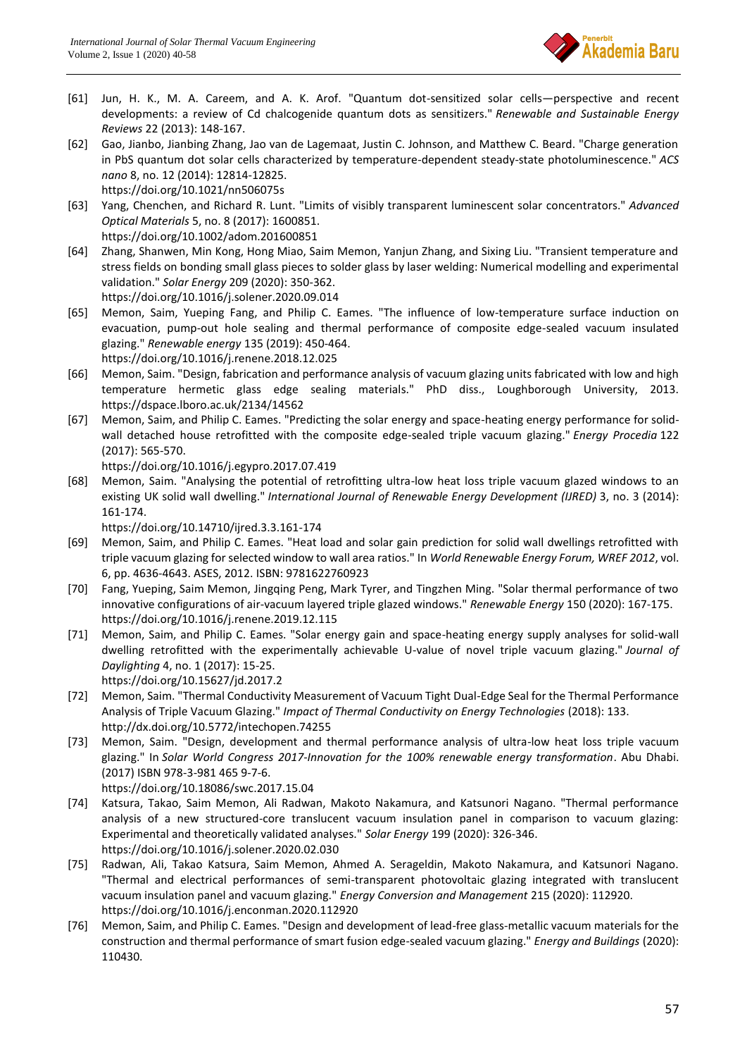

- [61] Jun, H. K., M. A. Careem, and A. K. Arof. "Quantum dot-sensitized solar cells—perspective and recent developments: a review of Cd chalcogenide quantum dots as sensitizers." *Renewable and Sustainable Energy Reviews* 22 (2013): 148-167.
- [62] Gao, Jianbo, Jianbing Zhang, Jao van de Lagemaat, Justin C. Johnson, and Matthew C. Beard. "Charge generation in PbS quantum dot solar cells characterized by temperature-dependent steady-state photoluminescence." *ACS nano* 8, no. 12 (2014): 12814-12825. <https://doi.org/10.1021/nn506075s>
- [63] Yang, Chenchen, and Richard R. Lunt. "Limits of visibly transparent luminescent solar concentrators." *Advanced Optical Materials* 5, no. 8 (2017): 1600851. <https://doi.org/10.1002/adom.201600851>
- [64] Zhang, Shanwen, Min Kong, Hong Miao, Saim Memon, Yanjun Zhang, and Sixing Liu. "Transient temperature and stress fields on bonding small glass pieces to solder glass by laser welding: Numerical modelling and experimental validation." *Solar Energy* 209 (2020): 350-362. <https://doi.org/10.1016/j.solener.2020.09.014>
- [65] Memon, Saim, Yueping Fang, and Philip C. Eames. "The influence of low-temperature surface induction on evacuation, pump-out hole sealing and thermal performance of composite edge-sealed vacuum insulated glazing." *Renewable energy* 135 (2019): 450-464. <https://doi.org/10.1016/j.renene.2018.12.025>
- [66] Memon, Saim. "Design, fabrication and performance analysis of vacuum glazing units fabricated with low and high temperature hermetic glass edge sealing materials." PhD diss., Loughborough University, 2013. <https://dspace.lboro.ac.uk/2134/14562>
- [67] Memon, Saim, and Philip C. Eames. "Predicting the solar energy and space-heating energy performance for solidwall detached house retrofitted with the composite edge-sealed triple vacuum glazing." *Energy Procedia* 122 (2017): 565-570.

<https://doi.org/10.1016/j.egypro.2017.07.419>

[68] Memon, Saim. "Analysing the potential of retrofitting ultra-low heat loss triple vacuum glazed windows to an existing UK solid wall dwelling." *International Journal of Renewable Energy Development (IJRED)* 3, no. 3 (2014): 161-174.

<https://doi.org/10.14710/ijred.3.3.161-174>

- [69] Memon, Saim, and Philip C. Eames. "Heat load and solar gain prediction for solid wall dwellings retrofitted with triple vacuum glazing for selected window to wall area ratios." In *World Renewable Energy Forum, WREF 2012*, vol. 6, pp. 4636-4643. ASES, 2012. ISBN: 9781622760923
- [70] Fang, Yueping, Saim Memon, Jingqing Peng, Mark Tyrer, and Tingzhen Ming. "Solar thermal performance of two innovative configurations of air-vacuum layered triple glazed windows." *Renewable Energy* 150 (2020): 167-175. <https://doi.org/10.1016/j.renene.2019.12.115>
- [71] Memon, Saim, and Philip C. Eames. "Solar energy gain and space-heating energy supply analyses for solid-wall dwelling retrofitted with the experimentally achievable U-value of novel triple vacuum glazing." *Journal of Daylighting* 4, no. 1 (2017): 15-25.

<https://doi.org/10.15627/jd.2017.2>

- [72] Memon, Saim. "Thermal Conductivity Measurement of Vacuum Tight Dual-Edge Seal for the Thermal Performance Analysis of Triple Vacuum Glazing." *Impact of Thermal Conductivity on Energy Technologies* (2018): 133. <http://dx.doi.org/10.5772/intechopen.74255>
- [73] Memon, Saim. "Design, development and thermal performance analysis of ultra-low heat loss triple vacuum glazing." In *Solar World Congress 2017-Innovation for the 100% renewable energy transformation*. Abu Dhabi. (2017) ISBN 978-3-981 465 9-7-6.

<https://doi.org/10.18086/swc.2017.15.04>

- [74] Katsura, Takao, Saim Memon, Ali Radwan, Makoto Nakamura, and Katsunori Nagano. "Thermal performance analysis of a new structured-core translucent vacuum insulation panel in comparison to vacuum glazing: Experimental and theoretically validated analyses." *Solar Energy* 199 (2020): 326-346. <https://doi.org/10.1016/j.solener.2020.02.030>
- [75] Radwan, Ali, Takao Katsura, Saim Memon, Ahmed A. Serageldin, Makoto Nakamura, and Katsunori Nagano. "Thermal and electrical performances of semi-transparent photovoltaic glazing integrated with translucent vacuum insulation panel and vacuum glazing." *Energy Conversion and Management* 215 (2020): 112920. <https://doi.org/10.1016/j.enconman.2020.112920>
- [76] Memon, Saim, and Philip C. Eames. "Design and development of lead-free glass-metallic vacuum materials for the construction and thermal performance of smart fusion edge-sealed vacuum glazing." *Energy and Buildings* (2020): 110430.